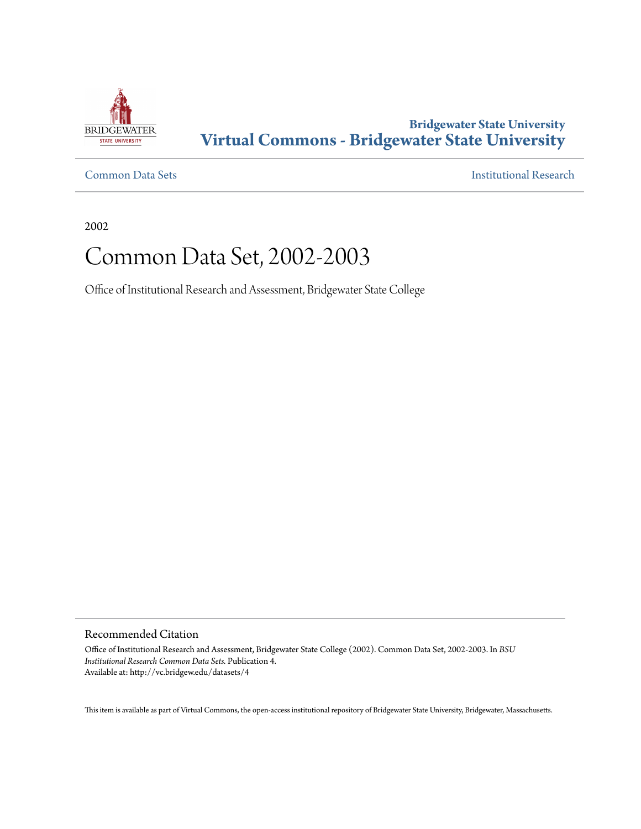

## **Bridgewater State University [Virtual Commons - Bridgewater State University](http://vc.bridgew.edu)**

[Common Data Sets](http://vc.bridgew.edu/datasets) [Institutional Research](http://vc.bridgew.edu/inst_research)

2002

# Common Data Set, 2002-2003

Office of Institutional Research and Assessment, Bridgewater State College

Recommended Citation

Office of Institutional Research and Assessment, Bridgewater State College (2002). Common Data Set, 2002-2003. In *BSU Institutional Research Common Data Sets.* Publication 4. Available at: http://vc.bridgew.edu/datasets/4

This item is available as part of Virtual Commons, the open-access institutional repository of Bridgewater State University, Bridgewater, Massachusetts.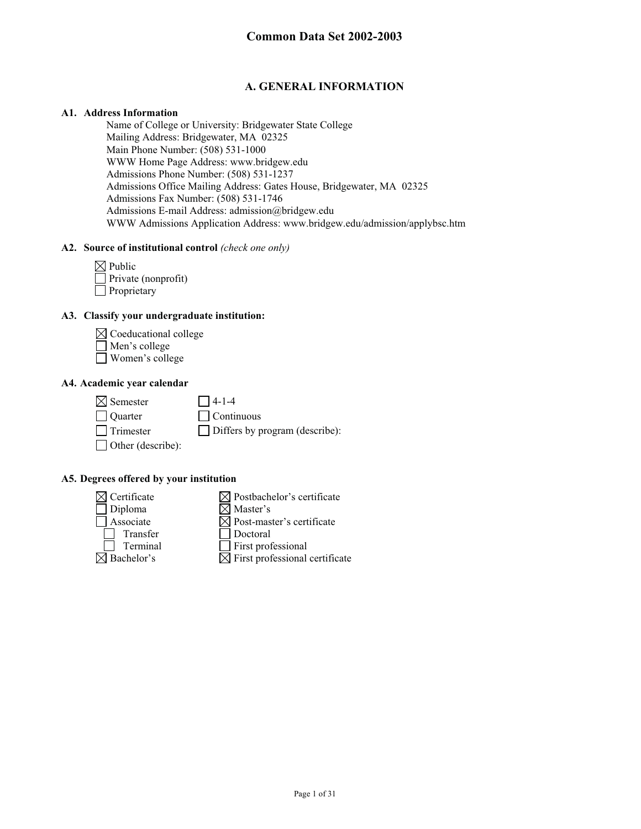## **A. GENERAL INFORMATION**

#### **A1. Address Information**

Name of College or University: Bridgewater State College Mailing Address: Bridgewater, MA 02325 Main Phone Number: (508) 531-1000 WWW Home Page Address: www.bridgew.edu Admissions Phone Number: (508) 531-1237 Admissions Office Mailing Address: Gates House, Bridgewater, MA 02325 Admissions Fax Number: (508) 531-1746 Admissions E-mail Address: admission@bridgew.edu WWW Admissions Application Address: www.bridgew.edu/admission/applybsc.htm

## **A2. Source of institutional control** *(check one only)*

| $\boxtimes$ Public         |
|----------------------------|
| $\Box$ Private (nonprofit) |
| Proprietary                |

## **A3. Classify your undergraduate institution:**



Women's college

#### **A4. Academic year calendar**

 $\boxtimes$  Semester 14-1-4

Quarter Continuous Trimester Differs by program (describe):

## **A5. Degrees offered by your institution**

□ Other (describe):

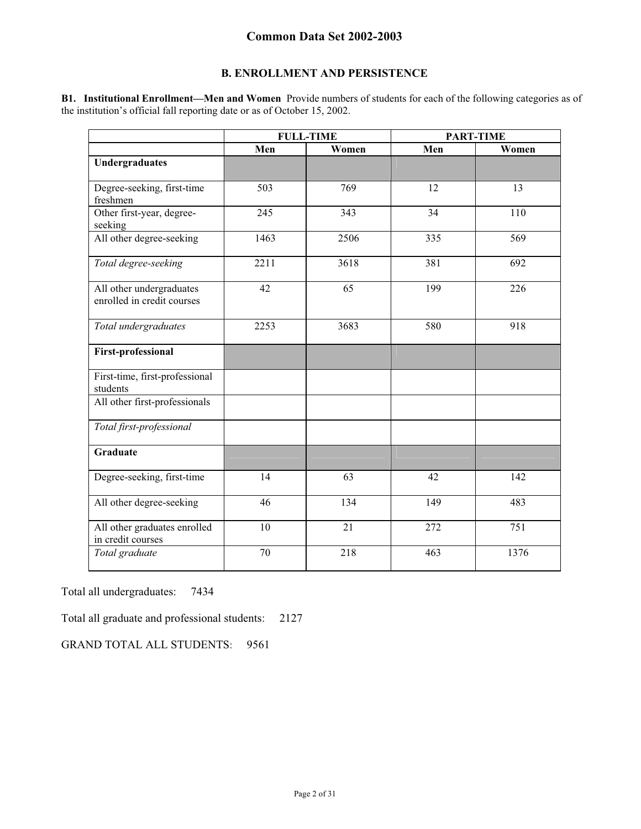## **B. ENROLLMENT AND PERSISTENCE**

**B1. Institutional Enrollment—Men and Women** Provide numbers of students for each of the following categories as of the institution's official fall reporting date or as of October 15, 2002.

|                                                        | <b>FULL-TIME</b> |       |     | <b>PART-TIME</b> |
|--------------------------------------------------------|------------------|-------|-----|------------------|
|                                                        | Men              | Women | Men | Women            |
| <b>Undergraduates</b>                                  |                  |       |     |                  |
| Degree-seeking, first-time<br>freshmen                 | 503              | 769   | 12  | 13               |
| Other first-year, degree-<br>seeking                   | 245              | 343   | 34  | 110              |
| All other degree-seeking                               | 1463             | 2506  | 335 | 569              |
| Total degree-seeking                                   | 2211             | 3618  | 381 | 692              |
| All other undergraduates<br>enrolled in credit courses | 42               | 65    | 199 | 226              |
| Total undergraduates                                   | 2253             | 3683  | 580 | 918              |
| <b>First-professional</b>                              |                  |       |     |                  |
| First-time, first-professional<br>students             |                  |       |     |                  |
| All other first-professionals                          |                  |       |     |                  |
| Total first-professional                               |                  |       |     |                  |
| Graduate                                               |                  |       |     |                  |
| Degree-seeking, first-time                             | 14               | 63    | 42  | 142              |
| All other degree-seeking                               | 46               | 134   | 149 | 483              |
| All other graduates enrolled<br>in credit courses      | 10               | 21    | 272 | 751              |
| Total graduate                                         | 70               | 218   | 463 | 1376             |

Total all undergraduates: 7434

Total all graduate and professional students: 2127

GRAND TOTAL ALL STUDENTS: 9561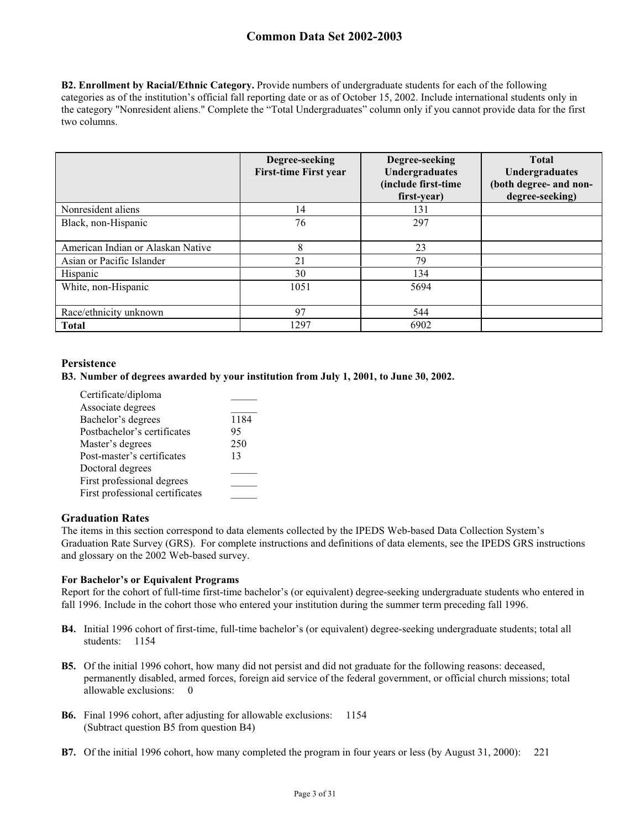**B2. Enrollment by Racial/Ethnic Category.** Provide numbers of undergraduate students for each of the following categories as of the institution's official fall reporting date or as of October 15, 2002. Include international students only in the category "Nonresident aliens." Complete the "Total Undergraduates" column only if you cannot provide data for the first two columns.

|                                   | Degree-seeking<br><b>First-time First year</b> | Degree-seeking<br>Undergraduates<br>(include first-time<br>first-year) | <b>Total</b><br>Undergraduates<br>(both degree- and non-<br>degree-seeking) |
|-----------------------------------|------------------------------------------------|------------------------------------------------------------------------|-----------------------------------------------------------------------------|
| Nonresident aliens                | 14                                             | 131                                                                    |                                                                             |
| Black, non-Hispanic               | 76                                             | 297                                                                    |                                                                             |
| American Indian or Alaskan Native | 8                                              | 23                                                                     |                                                                             |
| Asian or Pacific Islander         | 21                                             | 79                                                                     |                                                                             |
| Hispanic                          | 30                                             | 134                                                                    |                                                                             |
| White, non-Hispanic               | 1051                                           | 5694                                                                   |                                                                             |
| Race/ethnicity unknown            | 97                                             | 544                                                                    |                                                                             |
| <b>Total</b>                      | 1297                                           | 6902                                                                   |                                                                             |

## **Persistence**

#### **B3. Number of degrees awarded by your institution from July 1, 2001, to June 30, 2002.**

| Certificate/diploma             |      |
|---------------------------------|------|
| Associate degrees               |      |
| Bachelor's degrees              | 1184 |
| Postbachelor's certificates     | 95   |
| Master's degrees                | 250  |
| Post-master's certificates      | 13   |
| Doctoral degrees                |      |
| First professional degrees      |      |
| First professional certificates |      |

## **Graduation Rates**

The items in this section correspond to data elements collected by the IPEDS Web-based Data Collection System's Graduation Rate Survey (GRS). For complete instructions and definitions of data elements, see the IPEDS GRS instructions and glossary on the 2002 Web-based survey.

#### **For Bachelor's or Equivalent Programs**

Report for the cohort of full-time first-time bachelor's (or equivalent) degree-seeking undergraduate students who entered in fall 1996. Include in the cohort those who entered your institution during the summer term preceding fall 1996.

- **B4.** Initial 1996 cohort of first-time, full-time bachelor's (or equivalent) degree-seeking undergraduate students; total all students: 1154
- **B5.** Of the initial 1996 cohort, how many did not persist and did not graduate for the following reasons: deceased, permanently disabled, armed forces, foreign aid service of the federal government, or official church missions; total allowable exclusions: 0
- **B6.** Final 1996 cohort, after adjusting for allowable exclusions: 1154 (Subtract question B5 from question B4)
- **B7.** Of the initial 1996 cohort, how many completed the program in four years or less (by August 31, 2000): 221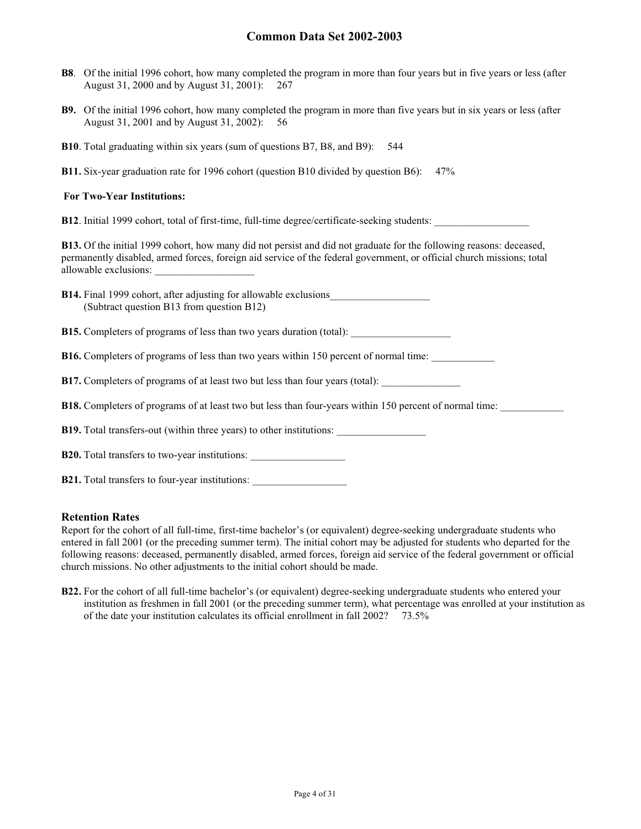- **B8**. Of the initial 1996 cohort, how many completed the program in more than four years but in five years or less (after August 31, 2000 and by August 31, 2001): 267
- **B9.** Of the initial 1996 cohort, how many completed the program in more than five years but in six years or less (after August 31, 2001 and by August 31, 2002): 56
- **B10**. Total graduating within six years (sum of questions B7, B8, and B9): 544
- **B11.** Six-year graduation rate for 1996 cohort (question B10 divided by question B6): 47%

#### **For Two-Year Institutions:**

**B12**. Initial 1999 cohort, total of first-time, full-time degree/certificate-seeking students:

**B13.** Of the initial 1999 cohort, how many did not persist and did not graduate for the following reasons: deceased, permanently disabled, armed forces, foreign aid service of the federal government, or official church missions; total allowable exclusions:

| <b>B14.</b> Final 1999 cohort, after adjusting for allowable exclusions |  |
|-------------------------------------------------------------------------|--|
| (Subtract question B13 from question B12)                               |  |

**B15.** Completers of programs of less than two years duration (total):

**B16.** Completers of programs of less than two years within 150 percent of normal time:

**B17.** Completers of programs of at least two but less than four years (total):

**B18.** Completers of programs of at least two but less than four-years within 150 percent of normal time:

**B19.** Total transfers-out (within three years) to other institutions:

**B20.** Total transfers to two-year institutions:

**B21.** Total transfers to four-year institutions:

#### **Retention Rates**

Report for the cohort of all full-time, first-time bachelor's (or equivalent) degree-seeking undergraduate students who entered in fall 2001 (or the preceding summer term). The initial cohort may be adjusted for students who departed for the following reasons: deceased, permanently disabled, armed forces, foreign aid service of the federal government or official church missions. No other adjustments to the initial cohort should be made.

**B22.** For the cohort of all full-time bachelor's (or equivalent) degree-seeking undergraduate students who entered your institution as freshmen in fall 2001 (or the preceding summer term), what percentage was enrolled at your institution as of the date your institution calculates its official enrollment in fall 2002? 73.5%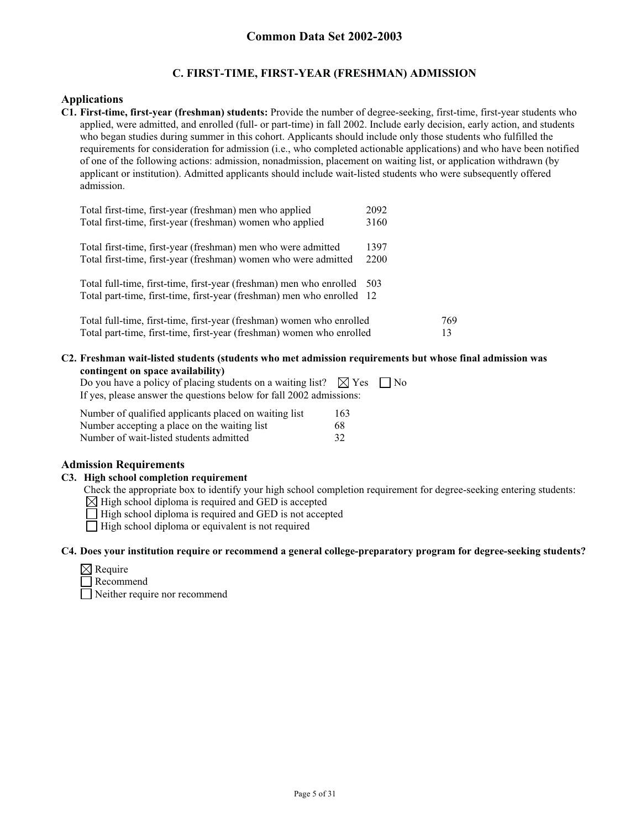## **C. FIRST-TIME, FIRST-YEAR (FRESHMAN) ADMISSION**

#### **Applications**

**C1. First-time, first-year (freshman) students:** Provide the number of degree-seeking, first-time, first-year students who applied, were admitted, and enrolled (full- or part-time) in fall 2002. Include early decision, early action, and students who began studies during summer in this cohort. Applicants should include only those students who fulfilled the requirements for consideration for admission (i.e., who completed actionable applications) and who have been notified of one of the following actions: admission, nonadmission, placement on waiting list, or application withdrawn (by applicant or institution). Admitted applicants should include wait-listed students who were subsequently offered admission.

| Total first-time, first-year (freshman) men who applied                | 2092  |     |
|------------------------------------------------------------------------|-------|-----|
| Total first-time, first-year (freshman) women who applied              | 3160  |     |
| Total first-time, first-year (freshman) men who were admitted          | 1397  |     |
| Total first-time, first-year (freshman) women who were admitted        | 2200  |     |
| Total full-time, first-time, first-year (freshman) men who enrolled    | - 503 |     |
| Total part-time, first-time, first-year (freshman) men who enrolled 12 |       |     |
| Total full-time, first-time, first-year (freshman) women who enrolled  |       | 769 |
| Total part-time, first-time, first-year (freshman) women who enrolled  |       | 13  |

## **C2. Freshman wait-listed students (students who met admission requirements but whose final admission was contingent on space availability)**

| Do you have a policy of placing students on a waiting list? $\boxtimes$ Yes $\Box$ No |  |
|---------------------------------------------------------------------------------------|--|
| If yes, please answer the questions below for fall 2002 admissions:                   |  |

| Number of qualified applicants placed on waiting list | 163 |
|-------------------------------------------------------|-----|
| Number accepting a place on the waiting list          | 68  |
| Number of wait-listed students admitted               | 32  |

## **Admission Requirements**

#### **C3. High school completion requirement**

Check the appropriate box to identify your high school completion requirement for degree-seeking entering students:

 $\boxtimes$  High school diploma is required and GED is accepted

 $\Box$  High school diploma is required and GED is not accepted

 $\Box$  High school diploma or equivalent is not required

#### **C4. Does your institution require or recommend a general college-preparatory program for degree-seeking students?**

| ∣×l Require |
|-------------|
|             |

Recommend Neither require nor recommend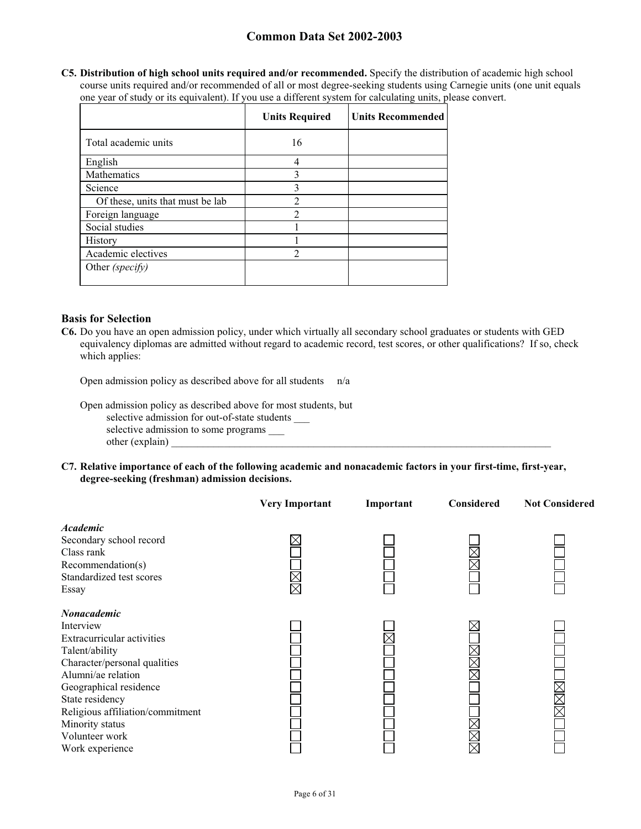**C5. Distribution of high school units required and/or recommended.** Specify the distribution of academic high school course units required and/or recommended of all or most degree-seeking students using Carnegie units (one unit equals one year of study or its equivalent). If you use a different system for calculating units, please convert.

|                                  | <b>Units Required</b> | <b>Units Recommended</b> |
|----------------------------------|-----------------------|--------------------------|
| Total academic units             | 16                    |                          |
| English                          | 4                     |                          |
| Mathematics                      | 3                     |                          |
| Science                          | 3                     |                          |
| Of these, units that must be lab |                       |                          |
| Foreign language                 | $\mathcal{D}$         |                          |
| Social studies                   |                       |                          |
| History                          |                       |                          |
| Academic electives               | $\mathfrak{D}$        |                          |
| Other (specify)                  |                       |                          |

## **Basis for Selection**

**C6.** Do you have an open admission policy, under which virtually all secondary school graduates or students with GED equivalency diplomas are admitted without regard to academic record, test scores, or other qualifications? If so, check which applies:

Open admission policy as described above for all students n/a

- Open admission policy as described above for most students, but selective admission for out-of-state students selective admission to some programs \_\_\_ other (explain)
- **C7. Relative importance of each of the following academic and nonacademic factors in your first-time, first-year, degree-seeking (freshman) admission decisions.**

|                                                                                                                                                                                                                                                                                | <b>Very Important</b> | Important | Considered | <b>Not Considered</b> |
|--------------------------------------------------------------------------------------------------------------------------------------------------------------------------------------------------------------------------------------------------------------------------------|-----------------------|-----------|------------|-----------------------|
| <b>Academic</b><br>Secondary school record<br>Class rank<br>Recommendation(s)<br>Standardized test scores<br>Essay                                                                                                                                                             | $\boxtimes$           |           |            |                       |
| <b>Nonacademic</b><br>Interview<br>Extracurricular activities<br>Talent/ability<br>Character/personal qualities<br>Alumni/ae relation<br>Geographical residence<br>State residency<br>Religious affiliation/commitment<br>Minority status<br>Volunteer work<br>Work experience |                       |           |            | <u>kan </u>           |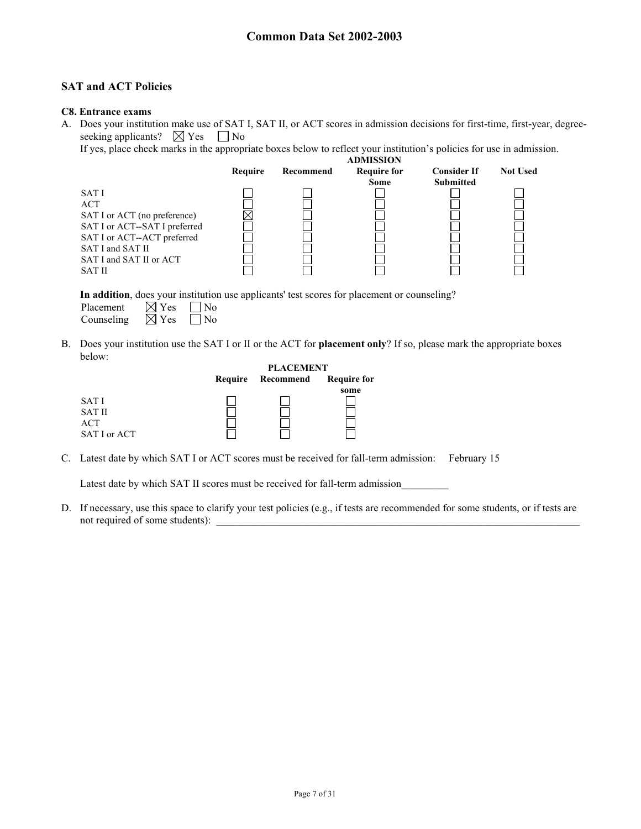## **SAT and ACT Policies**

#### **C8. Entrance exams**

A. Does your institution make use of SAT I, SAT II, or ACT scores in admission decisions for first-time, first-year, degreeseeking applicants?  $\boxtimes$  Yes  $\Box$  No

If yes, place check marks in the appropriate boxes below to reflect your institution's policies for use in admission.

|                               |         |           | <b>ADMISSION</b>   |                    |                 |
|-------------------------------|---------|-----------|--------------------|--------------------|-----------------|
|                               | Require | Recommend | <b>Require for</b> | <b>Consider If</b> | <b>Not Used</b> |
|                               |         |           | <b>Some</b>        | <b>Submitted</b>   |                 |
| SAT I                         |         |           |                    |                    |                 |
| <b>ACT</b>                    |         |           |                    |                    |                 |
| SAT I or ACT (no preference)  |         |           |                    |                    |                 |
| SAT I or ACT--SAT I preferred |         |           |                    |                    |                 |
| SAT I or ACT--ACT preferred   |         |           |                    |                    |                 |
| SAT I and SAT II              |         |           |                    |                    |                 |
| SAT I and SAT II or ACT       |         |           |                    |                    |                 |
| <b>SAT II</b>                 |         |           |                    |                    |                 |
|                               |         |           |                    |                    |                 |

**In addition**, does your institution use applicants' test scores for placement or counseling?

| Placement  | $\boxtimes$ Yes | $\vert$   No |
|------------|-----------------|--------------|
| Counseling | $\boxtimes$ Yes | $\Box$ No    |

B. Does your institution use the SAT I or II or the ACT for **placement only**? If so, please mark the appropriate boxes below:

|               |         | <b>PLACEMENT</b> |                    |
|---------------|---------|------------------|--------------------|
|               | Require | Recommend        | <b>Require for</b> |
|               |         |                  | some               |
| <b>SATI</b>   |         |                  |                    |
| <b>SAT II</b> |         |                  |                    |
| ACT           |         |                  |                    |
| SAT I or ACT  |         |                  |                    |

C. Latest date by which SAT I or ACT scores must be received for fall-term admission: February 15

Latest date by which SAT II scores must be received for fall-term admission

D. If necessary, use this space to clarify your test policies (e.g., if tests are recommended for some students, or if tests are not required of some students):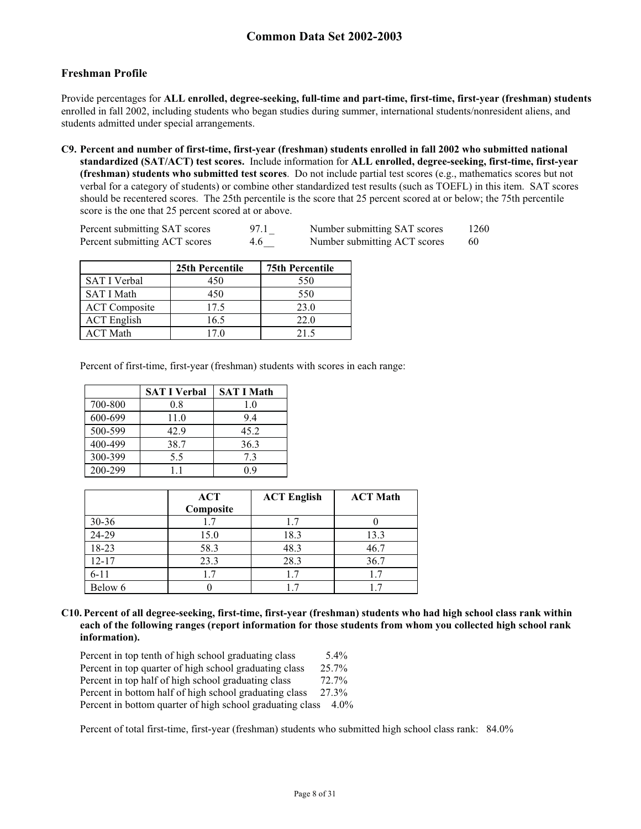## **Freshman Profile**

Provide percentages for **ALL enrolled, degree-seeking, full-time and part-time, first-time, first-year (freshman) students**  enrolled in fall 2002, including students who began studies during summer, international students/nonresident aliens, and students admitted under special arrangements.

**C9. Percent and number of first-time, first-year (freshman) students enrolled in fall 2002 who submitted national standardized (SAT/ACT) test scores.** Include information for **ALL enrolled, degree-seeking, first-time, first-year (freshman) students who submitted test scores**. Do not include partial test scores (e.g., mathematics scores but not verbal for a category of students) or combine other standardized test results (such as TOEFL) in this item. SAT scores should be recentered scores. The 25th percentile is the score that 25 percent scored at or below; the 75th percentile score is the one that 25 percent scored at or above.

| Percent submitting SAT scores | 97.1 | Number submitting SAT scores | 1260 |
|-------------------------------|------|------------------------------|------|
| Percent submitting ACT scores | 4.6  | Number submitting ACT scores | 60   |

|                      | 25th Percentile | <b>75th Percentile</b> |
|----------------------|-----------------|------------------------|
| SAT I Verbal         | 450             | 550                    |
| <b>SAT I Math</b>    | 450             | 550                    |
| <b>ACT</b> Composite | 17.5            | 23.0                   |
| <b>ACT</b> English   | 16.5            | 22.0                   |
| <b>ACT Math</b>      | 170             | 21.5                   |

Percent of first-time, first-year (freshman) students with scores in each range:

|         | <b>SAT I Verbal</b> | <b>SAT I Math</b> |
|---------|---------------------|-------------------|
| 700-800 | 0.8                 | 1.0               |
| 600-699 | 11.0                | 9.4               |
| 500-599 | 42.9                | 45.2              |
| 400-499 | 38.7                | 36.3              |
| 300-399 | 5.5                 | 7.3               |
| 200-299 | 11                  | 0 ዓ               |

|           | <b>ACT</b> | <b>ACT English</b> | <b>ACT Math</b> |
|-----------|------------|--------------------|-----------------|
|           | Composite  |                    |                 |
| $30 - 36$ | 1.7        | 1.7                |                 |
| 24-29     | 15.0       | 18.3               | 13.3            |
| 18-23     | 58.3       | 48.3               | 46.7            |
| $12 - 17$ | 23.3       | 28.3               | 36.7            |
| $6 - 11$  | 1.7        | 1.7                | 1.7             |
| Below 6   |            |                    |                 |

**C10. Percent of all degree-seeking, first-time, first-year (freshman) students who had high school class rank within each of the following ranges (report information for those students from whom you collected high school rank information).** 

| Percent in top tenth of high school graduating class      | $5.4\%$ |
|-----------------------------------------------------------|---------|
| Percent in top quarter of high school graduating class    | 25.7%   |
| Percent in top half of high school graduating class       | 72.7%   |
| Percent in bottom half of high school graduating class    | 27.3%   |
| Percent in bottom quarter of high school graduating class | $4.0\%$ |

Percent of total first-time, first-year (freshman) students who submitted high school class rank: 84.0%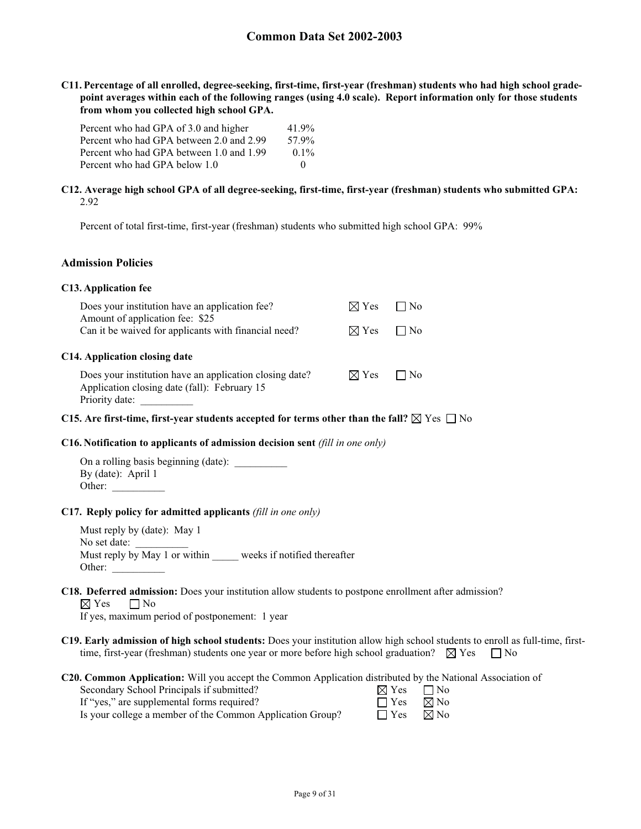**C11. Percentage of all enrolled, degree-seeking, first-time, first-year (freshman) students who had high school gradepoint averages within each of the following ranges (using 4.0 scale). Report information only for those students from whom you collected high school GPA.** 

| Percent who had GPA of 3.0 and higher    | 41.9%       |
|------------------------------------------|-------------|
| Percent who had GPA between 2.0 and 2.99 | 57.9%       |
| Percent who had GPA between 1.0 and 1.99 | $0.1\%$     |
| Percent who had GPA below 1.0            | $^{\prime}$ |

#### **C12. Average high school GPA of all degree-seeking, first-time, first-year (freshman) students who submitted GPA:** 2.92

Percent of total first-time, first-year (freshman) students who submitted high school GPA: 99%

## **Admission Policies**

#### **C13. Application fee**

| Does your institution have an application fee?<br>Amount of application fee: \$25                                         | $\boxtimes$ Yes | □ No      |  |
|---------------------------------------------------------------------------------------------------------------------------|-----------------|-----------|--|
| Can it be waived for applicants with financial need?                                                                      | $\boxtimes$ Yes | $\Box$ No |  |
| C14. Application closing date                                                                                             |                 |           |  |
| Does your institution have an application closing date?<br>Application closing date (fall): February 15<br>Priority date: | $\boxtimes$ Yes | $\Box$ No |  |

#### **C15.** Are first-time, first-year students accepted for terms other than the fall?  $\boxtimes$  Yes  $\Box$  No

#### **C16. Notification to applicants of admission decision sent** *(fill in one only)*

On a rolling basis beginning (date): By (date): April 1 Other:

#### **C17. Reply policy for admitted applicants** *(fill in one only)*

Must reply by (date): May 1 No set date: Must reply by May 1 or within weeks if notified thereafter Other:

## **C18. Deferred admission:** Does your institution allow students to postpone enrollment after admission?

 $\boxtimes$  Yes  $\Box$  No

If yes, maximum period of postponement: 1 year

**C19. Early admission of high school students:** Does your institution allow high school students to enroll as full-time, firsttime, first-year (freshman) students one year or more before high school graduation?  $\boxtimes$  Yes  $\Box$  No

**C20. Common Application:** Will you accept the Common Application distributed by the National Association of

| Secondary School Principals if submitted?                 | $\boxtimes$ Yes $\Box$ No |  |
|-----------------------------------------------------------|---------------------------|--|
| If "yes," are supplemental forms required?                | $\Box$ Yes $\Box$ No      |  |
| Is your college a member of the Common Application Group? | $\Box$ Yes $\Box$ No      |  |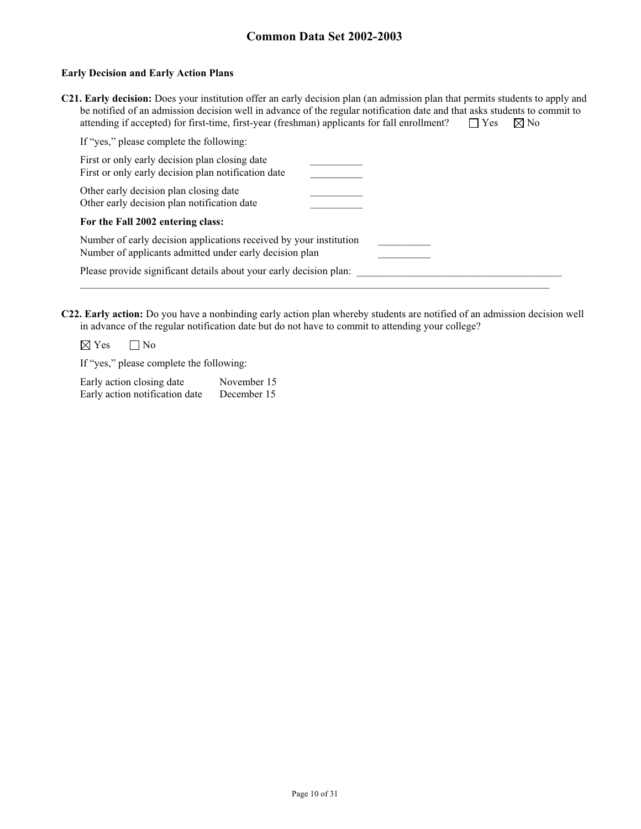#### **Early Decision and Early Action Plans**

| <b>C21. Early decision:</b> Does your institution offer an early decision plan (an admission plan that permits students to apply and |                      |  |
|--------------------------------------------------------------------------------------------------------------------------------------|----------------------|--|
| be notified of an admission decision well in advance of the regular notification date and that asks students to commit to            |                      |  |
| attending if accepted) for first-time, first-year (freshman) applicants for fall enrollment?                                         | $\Box$ Yes $\Box$ No |  |

| If "yes," please complete the following:                                                                                      |  |
|-------------------------------------------------------------------------------------------------------------------------------|--|
| First or only early decision plan closing date<br>First or only early decision plan notification date                         |  |
| Other early decision plan closing date<br>Other early decision plan notification date                                         |  |
| For the Fall 2002 entering class:                                                                                             |  |
| Number of early decision applications received by your institution<br>Number of applicants admitted under early decision plan |  |
| Please provide significant details about your early decision plan:                                                            |  |
|                                                                                                                               |  |

**C22. Early action:** Do you have a nonbinding early action plan whereby students are notified of an admission decision well in advance of the regular notification date but do not have to commit to attending your college?

 $\boxtimes$  Yes  $\Box$  No

If "yes," please complete the following:

| Early action closing date      | November 15 |
|--------------------------------|-------------|
| Early action notification date | December 15 |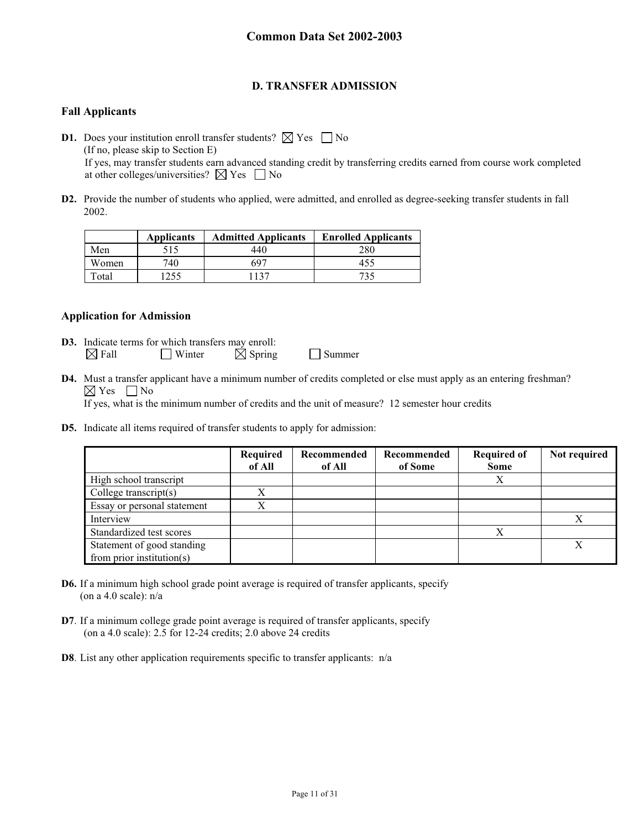## **D. TRANSFER ADMISSION**

## **Fall Applicants**

**D1.** Does your institution enroll transfer students?  $\boxtimes$  Yes  $\Box$  No (If no, please skip to Section E) If yes, may transfer students earn advanced standing credit by transferring credits earned from course work completed at other colleges/universities?  $\boxtimes$  Yes  $\Box$  No

**D2.** Provide the number of students who applied, were admitted, and enrolled as degree-seeking transfer students in fall 2002.

|       | <b>Applicants</b> | <b>Admitted Applicants</b> | <b>Enrolled Applicants</b> |
|-------|-------------------|----------------------------|----------------------------|
| Men   | 515               | 440                        | 280                        |
| Women | 740.              | -697                       |                            |
| Total |                   | 137                        | 734                        |

## **Application for Admission**

- **D3.** Indicate terms for which transfers may enroll:  $\boxtimes$  Fall Winter  $\boxtimes$  Spring Summer
- **D4.** Must a transfer applicant have a minimum number of credits completed or else must apply as an entering freshman?  $\boxtimes$  Yes  $\Box$  No

If yes, what is the minimum number of credits and the unit of measure? 12 semester hour credits

**D5.** Indicate all items required of transfer students to apply for admission:

|                                                         | Required<br>of All | Recommended<br>of All | Recommended<br>of Some | <b>Required of</b><br><b>Some</b> | Not required |
|---------------------------------------------------------|--------------------|-----------------------|------------------------|-----------------------------------|--------------|
| High school transcript                                  |                    |                       |                        | Х                                 |              |
| College transcript $(s)$                                | X                  |                       |                        |                                   |              |
| Essay or personal statement                             |                    |                       |                        |                                   |              |
| Interview                                               |                    |                       |                        |                                   |              |
| Standardized test scores                                |                    |                       |                        | Х                                 |              |
| Statement of good standing<br>from prior institution(s) |                    |                       |                        |                                   |              |

- **D6.** If a minimum high school grade point average is required of transfer applicants, specify (on a 4.0 scale):  $n/a$
- **D7**. If a minimum college grade point average is required of transfer applicants, specify (on a 4.0 scale): 2.5 for 12-24 credits; 2.0 above 24 credits
- **D8**. List any other application requirements specific to transfer applicants: n/a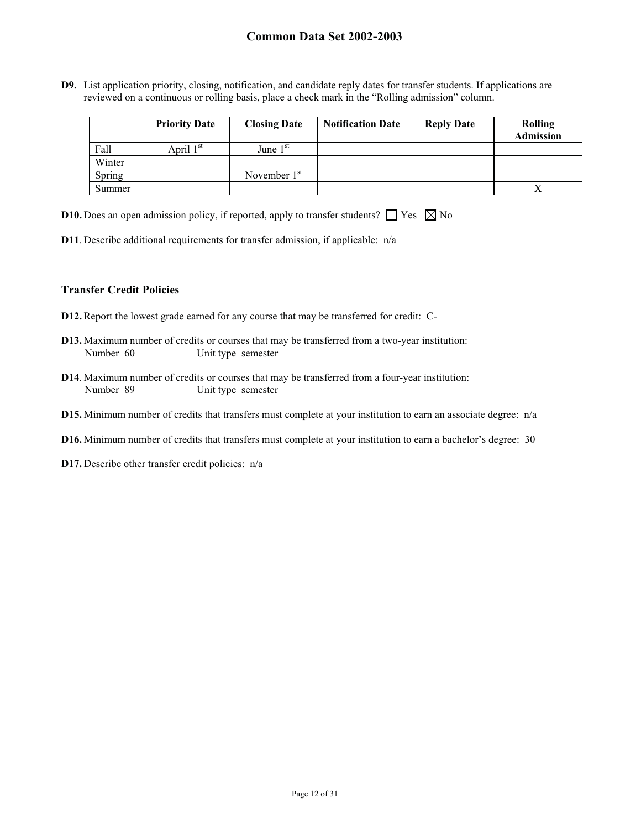**D9.** List application priority, closing, notification, and candidate reply dates for transfer students. If applications are reviewed on a continuous or rolling basis, place a check mark in the "Rolling admission" column.

|        | <b>Priority Date</b>  | <b>Closing Date</b> | <b>Notification Date</b> | <b>Reply Date</b> | <b>Rolling</b><br><b>Admission</b> |
|--------|-----------------------|---------------------|--------------------------|-------------------|------------------------------------|
| Fall   | April 1 <sup>st</sup> | June $1st$          |                          |                   |                                    |
| Winter |                       |                     |                          |                   |                                    |
| Spring |                       | November $1st$      |                          |                   |                                    |
| Summer |                       |                     |                          |                   |                                    |

|  |  |  |  |  | <b>D10.</b> Does an open admission policy, if reported, apply to transfer students? $\Box$ Yes $\boxtimes$ No |  |  |  |
|--|--|--|--|--|---------------------------------------------------------------------------------------------------------------|--|--|--|
|--|--|--|--|--|---------------------------------------------------------------------------------------------------------------|--|--|--|

**D11**. Describe additional requirements for transfer admission, if applicable: n/a

#### **Transfer Credit Policies**

- **D12.** Report the lowest grade earned for any course that may be transferred for credit: C-
- **D13.** Maximum number of credits or courses that may be transferred from a two-year institution: Number 60 Unit type semester
- **D14**. Maximum number of credits or courses that may be transferred from a four-year institution: Number 89 Unit type semester
- **D15.** Minimum number of credits that transfers must complete at your institution to earn an associate degree: n/a
- **D16.** Minimum number of credits that transfers must complete at your institution to earn a bachelor's degree: 30
- **D17.** Describe other transfer credit policies: n/a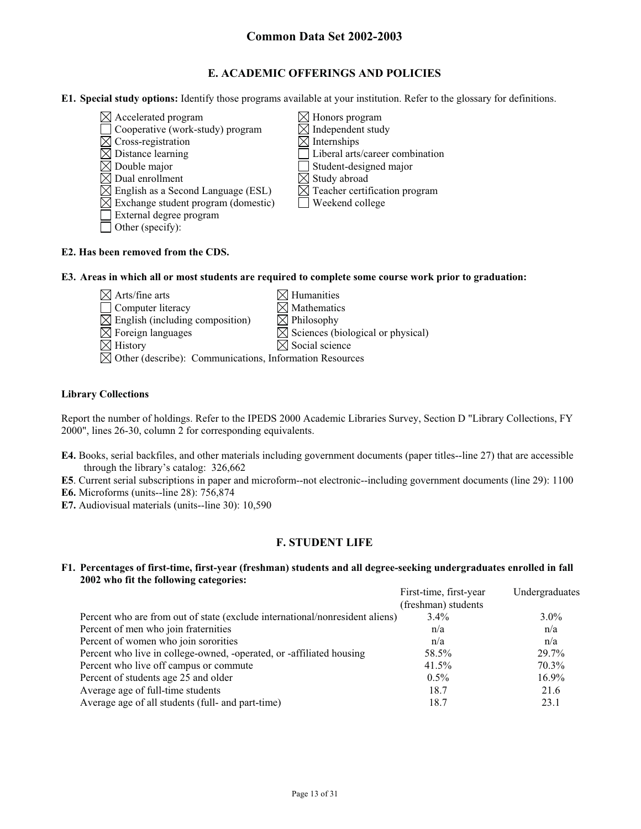## **E. ACADEMIC OFFERINGS AND POLICIES**

**E1. Special study options:** Identify those programs available at your institution. Refer to the glossary for definitions.

- $\boxtimes$  Accelerated program  $\boxtimes$  Honors program
- $\Box$  Cooperative (work-study) program  $\boxtimes$  Independent study
- 
- 
- $\boxtimes$  Double major<br>  $\boxtimes$  Dual enrollment<br>  $\boxtimes$  Study abroad
- 
- $\boxtimes$  English as a Second Language (ESL)
- $\boxtimes$  Exchange student program (domestic)  $\Box$  Weekend college
- External degree program
- $\Box$  Other (specify):
- $\boxtimes$  Cross-registration  $\boxtimes$  Internships<br> $\boxtimes$  Distance learning  $\Box$  Liberal arts Liberal arts/career combination
	-
	-
	- $\boxtimes$  Study abroad<br> $\boxtimes$  Teacher certification program
	-

## **E2. Has been removed from the CDS.**

**E3. Areas in which all or most students are required to complete some course work prior to graduation:** 

- $\boxtimes$  Arts/fine arts  $\boxtimes$  Humanities  $\Box$  Computer literacy  $\boxtimes$  Mathematics  $\boxtimes$  English (including composition)  $\boxtimes$  Philosophy
- 

 $\boxtimes$  Foreign languages  $\boxtimes$  Sciences (biological or physical)

 $\boxtimes$  History  $\boxtimes$  Social science Other (describe): Communications, Information Resources

## **Library Collections**

Report the number of holdings. Refer to the IPEDS 2000 Academic Libraries Survey, Section D "Library Collections, FY 2000", lines 26-30, column 2 for corresponding equivalents.

**E4.** Books, serial backfiles, and other materials including government documents (paper titles--line 27) that are accessible through the library's catalog: 326,662

**E5**. Current serial subscriptions in paper and microform--not electronic--including government documents (line 29): 1100

- **E6.** Microforms (units--line 28): 756,874
- **E7.** Audiovisual materials (units--line 30): 10,590

## **F. STUDENT LIFE**

#### **F1. Percentages of first-time, first-year (freshman) students and all degree-seeking undergraduates enrolled in fall 2002 who fit the following categories:**

|                                                                              | First-time, first-year | Undergraduates |
|------------------------------------------------------------------------------|------------------------|----------------|
|                                                                              | (freshman) students    |                |
| Percent who are from out of state (exclude international/nonresident aliens) | $3.4\%$                | $3.0\%$        |
| Percent of men who join fraternities                                         | n/a                    | n/a            |
| Percent of women who join sororities                                         | n/a                    | n/a            |
| Percent who live in college-owned, -operated, or -affiliated housing         | 58.5%                  | 29.7%          |
| Percent who live off campus or commute                                       | 41.5%                  | 70.3%          |
| Percent of students age 25 and older                                         | $0.5\%$                | $16.9\%$       |
| Average age of full-time students                                            | 18.7                   | 21.6           |
| Average age of all students (full- and part-time)                            | 18.7                   | 23.1           |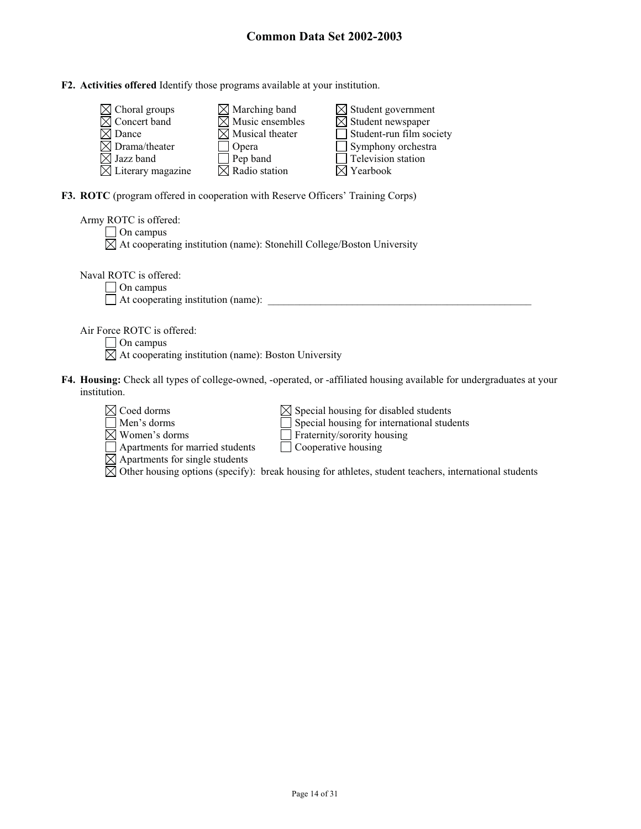## **F2. Activities offered** Identify those programs available at your institution.

| $\boxtimes$ Choral groups     | $\boxtimes$ Marching band   | $\boxtimes$ Student government  |
|-------------------------------|-----------------------------|---------------------------------|
| $\boxtimes$ Concert band      | $\boxtimes$ Music ensembles | $\boxtimes$ Student newspaper   |
| $\boxtimes$ Dance             | $\boxtimes$ Musical theater | $\Box$ Student-run film society |
| $\boxtimes$ Drama/theater     | Opera                       | $\Box$ Symphony orchestra       |
| $\boxtimes$ Jazz band         | Pep band                    | $\Box$ Television station       |
| $\boxtimes$ Literary magazine | $\boxtimes$ Radio station   | $\boxtimes$ Yearbook            |

**F3. ROTC** (program offered in cooperation with Reserve Officers' Training Corps)

Apartments for married students Cooperative housing

Apartments for single students

| Army ROTC is offered:<br>On campus<br>$\boxtimes$ At cooperating institution (name): Stonehill College/Boston University                                                                 |
|------------------------------------------------------------------------------------------------------------------------------------------------------------------------------------------|
| Naval ROTC is offered:<br>On campus<br>At cooperating institution (name):                                                                                                                |
| Air Force ROTC is offered:<br>On campus<br>$\boxtimes$ At cooperating institution (name): Boston University                                                                              |
| F4. Housing: Check all types of college-owned, -operated, or -affiliated housing available for undergraduates at your<br>institution.                                                    |
| $\boxtimes$ Coed dorms<br>$\boxtimes$ Special housing for disabled students<br>Special housing for international students<br>Men's dorms<br>Women's dorms<br>Fraternity/sorority housing |

Other housing options (specify): break housing for athletes, student teachers, international students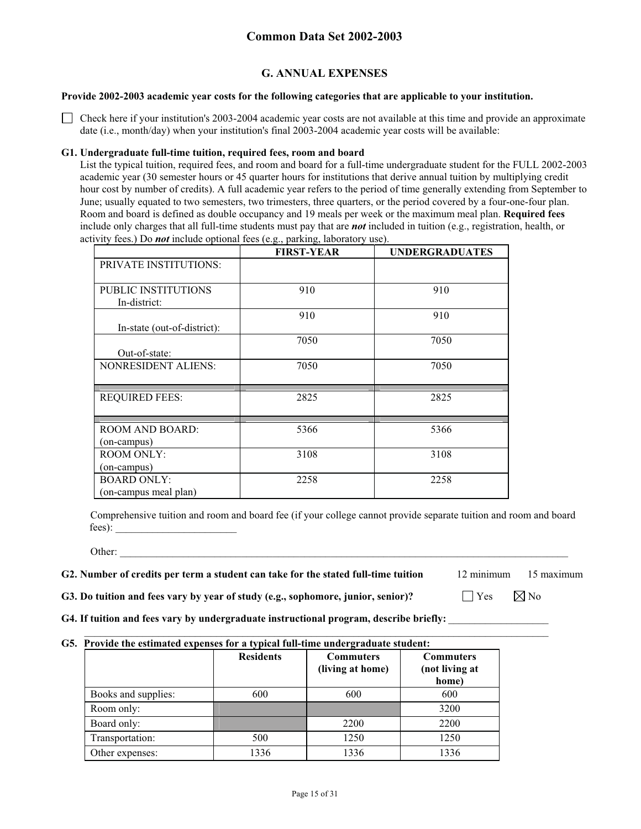## **G. ANNUAL EXPENSES**

#### **Provide 2002-2003 academic year costs for the following categories that are applicable to your institution.**

 $\Box$  Check here if your institution's 2003-2004 academic year costs are not available at this time and provide an approximate date (i.e., month/day) when your institution's final 2003-2004 academic year costs will be available:

#### **G1. Undergraduate full-time tuition, required fees, room and board**

List the typical tuition, required fees, and room and board for a full-time undergraduate student for the FULL 2002-2003 academic year (30 semester hours or 45 quarter hours for institutions that derive annual tuition by multiplying credit hour cost by number of credits). A full academic year refers to the period of time generally extending from September to June; usually equated to two semesters, two trimesters, three quarters, or the period covered by a four-one-four plan. Room and board is defined as double occupancy and 19 meals per week or the maximum meal plan. **Required fees** include only charges that all full-time students must pay that are *not* included in tuition (e.g., registration, health, or activity fees.) Do *not* include optional fees (e.g., parking, laboratory use).

|                              | <b>FIRST-YEAR</b> | <b>UNDERGRADUATES</b> |
|------------------------------|-------------------|-----------------------|
| <b>PRIVATE INSTITUTIONS:</b> |                   |                       |
| <b>PUBLIC INSTITUTIONS</b>   | 910               | 910                   |
| In-district:                 |                   |                       |
|                              | 910               | 910                   |
| In-state (out-of-district):  |                   |                       |
|                              | 7050              | 7050                  |
| Out-of-state:                |                   |                       |
| <b>NONRESIDENT ALIENS:</b>   | 7050              | 7050                  |
|                              |                   |                       |
| <b>REQUIRED FEES:</b>        | 2825              | 2825                  |
|                              |                   |                       |
|                              |                   |                       |
| <b>ROOM AND BOARD:</b>       | 5366              | 5366                  |
| (on-campus)                  |                   |                       |
| <b>ROOM ONLY:</b>            | 3108              | 3108                  |
| (on-campus)                  |                   |                       |
| <b>BOARD ONLY:</b>           | 2258              | 2258                  |
| (on-campus meal plan)        |                   |                       |

Comprehensive tuition and room and board fee (if your college cannot provide separate tuition and room and board fees):

Other: \_\_\_\_\_\_\_\_\_\_\_\_\_\_\_\_\_\_\_\_\_\_\_\_\_\_\_\_\_\_\_\_\_\_\_\_\_\_\_\_\_\_\_\_\_\_\_\_\_\_\_\_\_\_\_\_\_\_\_\_\_\_\_\_\_\_\_\_\_\_\_\_\_\_\_\_\_\_\_\_\_\_\_\_\_

#### **G2. Number of credits per term a student can take for the stated full-time tuition** 12 minimum 15 maximum

**G3. Do tuition and fees vary by year of study (e.g., sophomore, junior, senior)?**  $\Box$  Yes  $\Box$  No

G4. If tuition and fees vary by undergraduate instructional program, describe briefly:

#### $\mathcal{L}_\text{max} = \frac{1}{2} \sum_{i=1}^{n} \frac{1}{2} \sum_{i=1}^{n} \frac{1}{2} \sum_{i=1}^{n} \frac{1}{2} \sum_{i=1}^{n} \frac{1}{2} \sum_{i=1}^{n} \frac{1}{2} \sum_{i=1}^{n} \frac{1}{2} \sum_{i=1}^{n} \frac{1}{2} \sum_{i=1}^{n} \frac{1}{2} \sum_{i=1}^{n} \frac{1}{2} \sum_{i=1}^{n} \frac{1}{2} \sum_{i=1}^{n} \frac{1}{2} \sum_{i=1}^{n} \frac{1$ **G5. Provide the estimated expenses for a typical full-time undergraduate student:**

|                     | <b>Residents</b> | <b>Commuters</b><br>(living at home) | <b>Commuters</b><br>(not living at<br>home) |
|---------------------|------------------|--------------------------------------|---------------------------------------------|
| Books and supplies: | 600              | 600                                  | 600                                         |
| Room only:          |                  |                                      | 3200                                        |
| Board only:         |                  | 2200                                 | 2200                                        |
| Transportation:     | 500              | 1250                                 | 1250                                        |
| Other expenses:     | 1336             | 1336                                 | 1336                                        |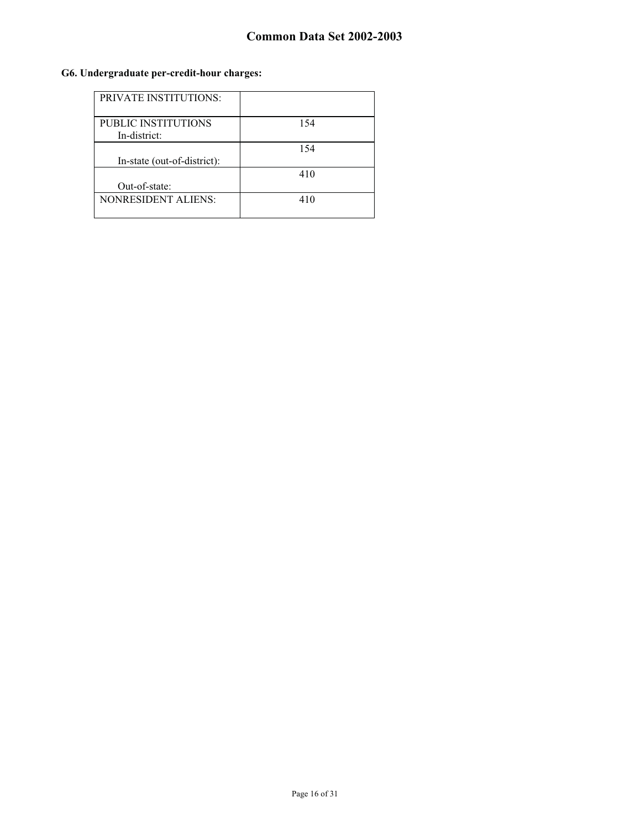## **G6. Undergraduate per-credit-hour charges:**

| <b>PRIVATE INSTITUTIONS:</b> |     |
|------------------------------|-----|
| PUBLIC INSTITUTIONS          | 154 |
| In-district:                 |     |
|                              | 154 |
| In-state (out-of-district):  |     |
|                              | 410 |
| Out-of-state:                |     |
| <b>NONRESIDENT ALIENS:</b>   | 410 |
|                              |     |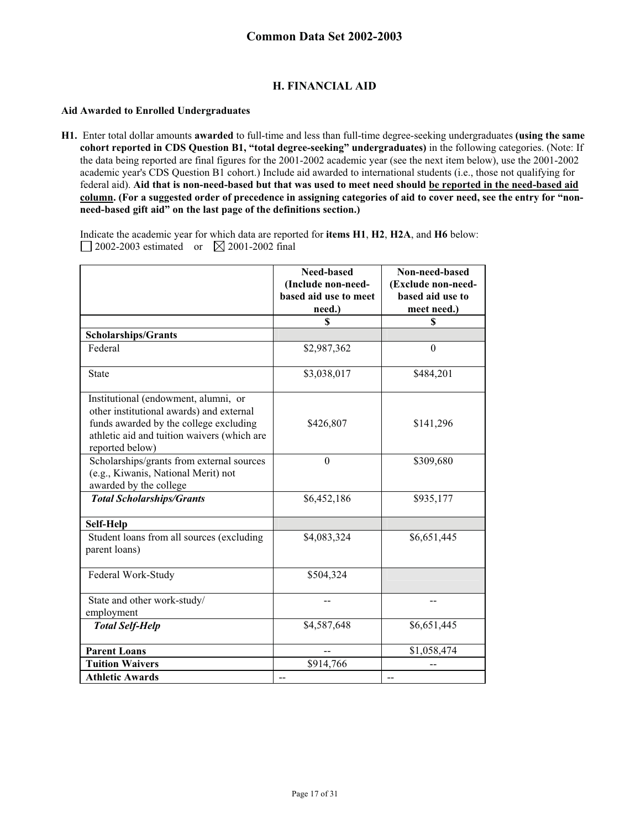## **H. FINANCIAL AID**

#### **Aid Awarded to Enrolled Undergraduates**

ù.

**H1.** Enter total dollar amounts **awarded** to full-time and less than full-time degree-seeking undergraduates **(using the same cohort reported in CDS Question B1, "total degree-seeking" undergraduates)** in the following categories. (Note: If the data being reported are final figures for the 2001-2002 academic year (see the next item below), use the 2001-2002 academic year's CDS Question B1 cohort.) Include aid awarded to international students (i.e., those not qualifying for federal aid). **Aid that is non-need-based but that was used to meet need should be reported in the need-based aid column. (For a suggested order of precedence in assigning categories of aid to cover need, see the entry for "nonneed-based gift aid" on the last page of the definitions section.)** 

Indicate the academic year for which data are reported for **items H1**, **H2**, **H2A**, and **H6** below: 2002-2003 estimated or  $\boxtimes$  2001-2002 final

|                                                                                                                                                                                              | Need-based            | Non-need-based     |
|----------------------------------------------------------------------------------------------------------------------------------------------------------------------------------------------|-----------------------|--------------------|
|                                                                                                                                                                                              | (Include non-need-    | (Exclude non-need- |
|                                                                                                                                                                                              | based aid use to meet | based aid use to   |
|                                                                                                                                                                                              | need.)                | meet need.)        |
|                                                                                                                                                                                              | \$                    | \$                 |
| <b>Scholarships/Grants</b>                                                                                                                                                                   |                       |                    |
| Federal                                                                                                                                                                                      | \$2,987,362           | $\mathbf{0}$       |
| <b>State</b>                                                                                                                                                                                 | \$3,038,017           | \$484,201          |
| Institutional (endowment, alumni, or<br>other institutional awards) and external<br>funds awarded by the college excluding<br>athletic aid and tuition waivers (which are<br>reported below) | \$426,807             | \$141,296          |
| Scholarships/grants from external sources<br>(e.g., Kiwanis, National Merit) not<br>awarded by the college                                                                                   | $\Omega$              | \$309,680          |
| <b>Total Scholarships/Grants</b>                                                                                                                                                             | \$6,452,186           | \$935,177          |
| Self-Help                                                                                                                                                                                    |                       |                    |
| Student loans from all sources (excluding<br>parent loans)                                                                                                                                   | \$4,083,324           | \$6,651,445        |
| Federal Work-Study                                                                                                                                                                           | \$504,324             |                    |
| State and other work-study/<br>employment                                                                                                                                                    |                       |                    |
| <b>Total Self-Help</b>                                                                                                                                                                       | \$4,587,648           | \$6,651,445        |
| <b>Parent Loans</b>                                                                                                                                                                          |                       | \$1,058,474        |
| <b>Tuition Waivers</b>                                                                                                                                                                       | \$914,766             |                    |
| <b>Athletic Awards</b>                                                                                                                                                                       |                       |                    |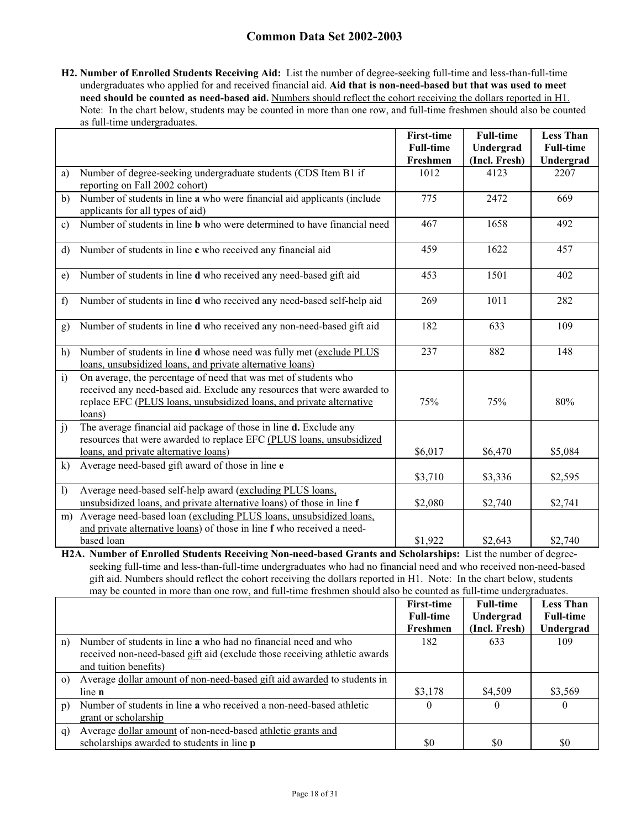**H2. Number of Enrolled Students Receiving Aid:** List the number of degree-seeking full-time and less-than-full-time undergraduates who applied for and received financial aid. **Aid that is non-need-based but that was used to meet need should be counted as need-based aid.** Numbers should reflect the cohort receiving the dollars reported in H1. Note: In the chart below, students may be counted in more than one row, and full-time freshmen should also be counted as full-time undergraduates.

|              |                                                                                                                                                                                                                              | <b>First-time</b><br><b>Full-time</b><br>Freshmen | <b>Full-time</b><br>Undergrad<br>(Incl. Fresh) | <b>Less Than</b><br><b>Full-time</b><br>Undergrad |
|--------------|------------------------------------------------------------------------------------------------------------------------------------------------------------------------------------------------------------------------------|---------------------------------------------------|------------------------------------------------|---------------------------------------------------|
| a)           | Number of degree-seeking undergraduate students (CDS Item B1 if<br>reporting on Fall 2002 cohort)                                                                                                                            | 1012                                              | 4123                                           | 2207                                              |
| b)           | Number of students in line a who were financial aid applicants (include<br>applicants for all types of aid)                                                                                                                  | 775                                               | 2472                                           | 669                                               |
| c)           | Number of students in line $\overline{b}$ who were determined to have financial need                                                                                                                                         | 467                                               | 1658                                           | 492                                               |
| d)           | Number of students in line c who received any financial aid                                                                                                                                                                  | 459                                               | 1622                                           | 457                                               |
| e)           | Number of students in line d who received any need-based gift aid                                                                                                                                                            | 453                                               | 1501                                           | 402                                               |
| f)           | Number of students in line d who received any need-based self-help aid                                                                                                                                                       | 269                                               | 1011                                           | 282                                               |
| g)           | Number of students in line d who received any non-need-based gift aid                                                                                                                                                        | 182                                               | 633                                            | 109                                               |
| h)           | Number of students in line d whose need was fully met (exclude PLUS<br>loans, unsubsidized loans, and private alternative loans)                                                                                             | 237                                               | 882                                            | 148                                               |
| $\mathbf{i}$ | On average, the percentage of need that was met of students who<br>received any need-based aid. Exclude any resources that were awarded to<br>replace EFC (PLUS loans, unsubsidized loans, and private alternative<br>loans) | 75%                                               | 75%                                            | 80%                                               |
| j)           | The average financial aid package of those in line d. Exclude any<br>resources that were awarded to replace EFC (PLUS loans, unsubsidized<br>loans, and private alternative loans)                                           | \$6,017                                           | \$6,470                                        | \$5,084                                           |
| k)           | Average need-based gift award of those in line e                                                                                                                                                                             | \$3,710                                           | \$3,336                                        | \$2,595                                           |
| $\mathbf{I}$ | Average need-based self-help award (excluding PLUS loans,<br>unsubsidized loans, and private alternative loans) of those in line f                                                                                           | \$2,080                                           | \$2,740                                        | \$2,741                                           |
| m)           | Average need-based loan (excluding PLUS loans, unsubsidized loans,<br>and private alternative loans) of those in line f who received a need-<br>based loan                                                                   | \$1,922                                           | \$2,643                                        | \$2,740                                           |

**H2A. Number of Enrolled Students Receiving Non-need-based Grants and Scholarships:** List the number of degreeseeking full-time and less-than-full-time undergraduates who had no financial need and who received non-need-based gift aid. Numbers should reflect the cohort receiving the dollars reported in H1. Note: In the chart below, students may be counted in more than one row, and full-time freshmen should also be counted as full-time undergraduates.

|                |                                                                           | <b>First-time</b> | <b>Full-time</b> | <b>Less Than</b> |
|----------------|---------------------------------------------------------------------------|-------------------|------------------|------------------|
|                |                                                                           | <b>Full-time</b>  | Undergrad        | <b>Full-time</b> |
|                |                                                                           | Freshmen          | (Incl. Fresh)    | Undergrad        |
| n)             | Number of students in line a who had no financial need and who            | 182               | 633              | 109              |
|                | received non-need-based gift aid (exclude those receiving athletic awards |                   |                  |                  |
|                | and tuition benefits)                                                     |                   |                  |                  |
| $\circ$ )      | Average dollar amount of non-need-based gift aid awarded to students in   |                   |                  |                  |
|                | line n                                                                    | \$3,178           | \$4,509          | \$3,569          |
| $\mathfrak{p}$ | Number of students in line a who received a non-need-based athletic       | 0                 | $\theta$         | 0                |
|                | grant or scholarship                                                      |                   |                  |                  |
| q)             | Average dollar amount of non-need-based athletic grants and               |                   |                  |                  |
|                | scholarships awarded to students in line <b>p</b>                         | \$0               | \$0              | \$0              |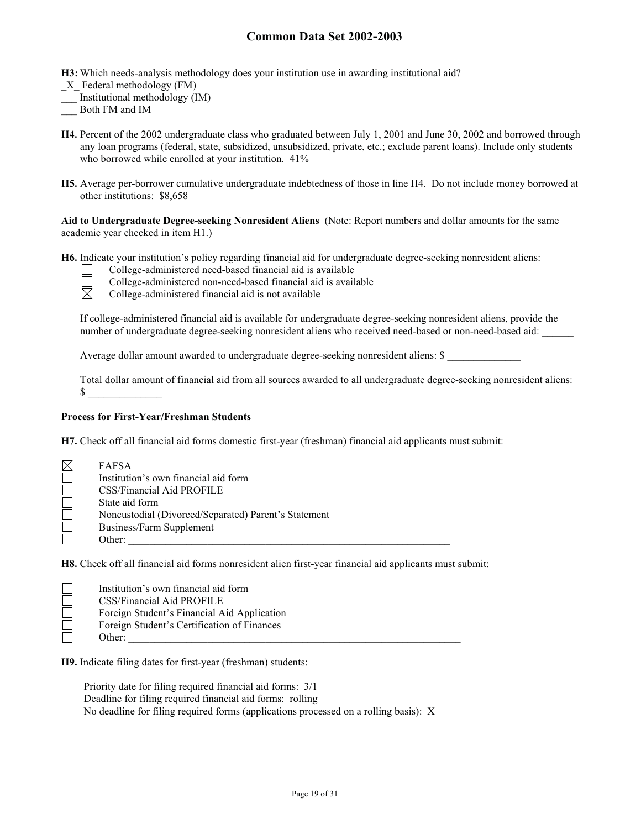**H3:** Which needs-analysis methodology does your institution use in awarding institutional aid?

- \_X\_ Federal methodology (FM)
- \_\_\_ Institutional methodology (IM)
- \_\_\_ Both FM and IM
- **H4.** Percent of the 2002 undergraduate class who graduated between July 1, 2001 and June 30, 2002 and borrowed through any loan programs (federal, state, subsidized, unsubsidized, private, etc.; exclude parent loans). Include only students who borrowed while enrolled at your institution.  $41\%$
- **H5.** Average per-borrower cumulative undergraduate indebtedness of those in line H4. Do not include money borrowed at other institutions: \$8,658

**Aid to Undergraduate Degree-seeking Nonresident Aliens** (Note: Report numbers and dollar amounts for the same academic year checked in item H1.)

**H6.** Indicate your institution's policy regarding financial aid for undergraduate degree-seeking nonresident aliens:

College-administered non-need-based financial aid is available<br>
College-administered financial aid is not available

College-administered need-based financial aid is available

College-administered financial aid is not available

If college-administered financial aid is available for undergraduate degree-seeking nonresident aliens, provide the number of undergraduate degree-seeking nonresident aliens who received need-based or non-need-based aid:

Average dollar amount awarded to undergraduate degree-seeking nonresident aliens: \$

Total dollar amount of financial aid from all sources awarded to all undergraduate degree-seeking nonresident aliens:  $\mathbb{S}$ 

#### **Process for First-Year/Freshman Students**

**H7.** Check off all financial aid forms domestic first-year (freshman) financial aid applicants must submit:

| <b>FAFSA</b>                                         |
|------------------------------------------------------|
| Institution's own financial aid form                 |
| CSS/Financial Aid PROFILE                            |
| State aid form                                       |
| Noncustodial (Divorced/Separated) Parent's Statement |
| Business/Farm Supplement                             |
| Other:                                               |

**H8.** Check off all financial aid forms nonresident alien first-year financial aid applicants must submit:

| Institution's own financial aid form        |
|---------------------------------------------|
| CSS/Financial Aid PROFILE                   |
| Foreign Student's Financial Aid Application |
| Foreign Student's Certification of Finances |
| Other:                                      |

**H9.** Indicate filing dates for first-year (freshman) students:

Priority date for filing required financial aid forms: 3/1 Deadline for filing required financial aid forms: rolling No deadline for filing required forms (applications processed on a rolling basis): X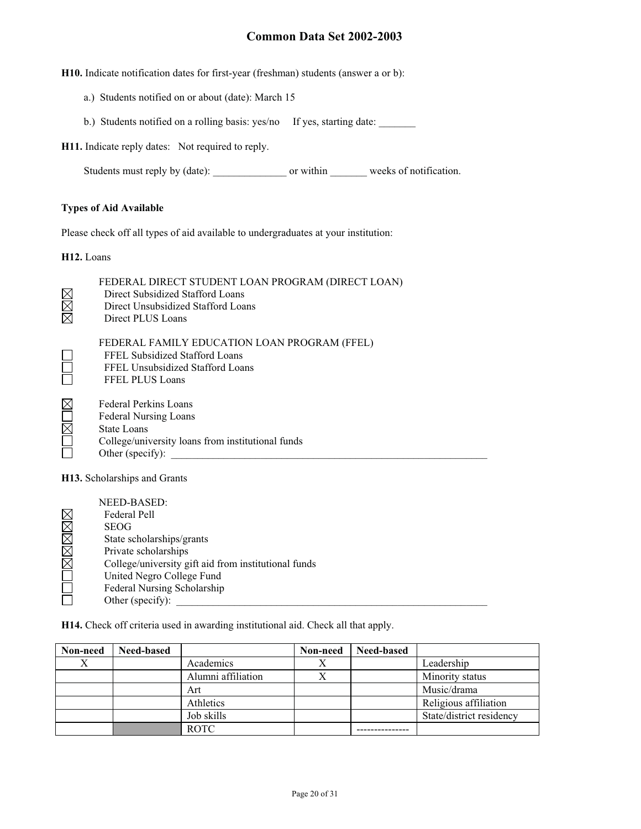**H10.** Indicate notification dates for first-year (freshman) students (answer a or b):

- a.) Students notified on or about (date): March 15
- b.) Students notified on a rolling basis: yes/no If yes, starting date: \_\_\_\_\_\_\_

**H11.** Indicate reply dates: Not required to reply.

Students must reply by (date): \_\_\_\_\_\_\_\_\_\_\_\_\_\_ or within \_\_\_\_\_\_\_ weeks of notification.

#### **Types of Aid Available**

Please check off all types of aid available to undergraduates at your institution:

**H12.** Loans

|                              | FEDERAL DIRECT STUDENT LOAN PROGRAM (DIRECT LOAN)<br>Direct Subsidized Stafford Loans<br>Direct Unsubsidized Stafford Loans<br>Direct PLUS Loans     |  |  |  |  |  |
|------------------------------|------------------------------------------------------------------------------------------------------------------------------------------------------|--|--|--|--|--|
|                              | FEDERAL FAMILY EDUCATION LOAN PROGRAM (FFEL)<br>FFEL Subsidized Stafford Loans<br>FFEL Unsubsidized Stafford Loans<br><b>FFEL PLUS Loans</b>         |  |  |  |  |  |
|                              | <b>Federal Perkins Loans</b><br><b>Federal Nursing Loans</b><br>State Loans<br>College/university loans from institutional funds<br>Other (specify): |  |  |  |  |  |
| H13. Scholarships and Grants |                                                                                                                                                      |  |  |  |  |  |

|             | NEED-BASED:                                          |
|-------------|------------------------------------------------------|
|             | Federal Pell                                         |
| $\times$    | <b>SEOG</b>                                          |
| $\boxtimes$ | State scholarships/grants                            |
| $\boxtimes$ | Private scholarships                                 |
| $\boxtimes$ | College/university gift aid from institutional funds |
|             | United Negro College Fund                            |
|             | Federal Nursing Scholarship                          |
|             | Other (specify):                                     |

**H14.** Check off criteria used in awarding institutional aid. Check all that apply.

| Non-need | <b>Need-based</b> |                    | Non-need | Need-based |                          |
|----------|-------------------|--------------------|----------|------------|--------------------------|
| X        |                   | Academics          |          |            | Leadership               |
|          |                   | Alumni affiliation |          |            | Minority status          |
|          |                   | Art                |          |            | Music/drama              |
|          |                   | Athletics          |          |            | Religious affiliation    |
|          |                   | Job skills         |          |            | State/district residency |
|          |                   | <b>ROTC</b>        |          |            |                          |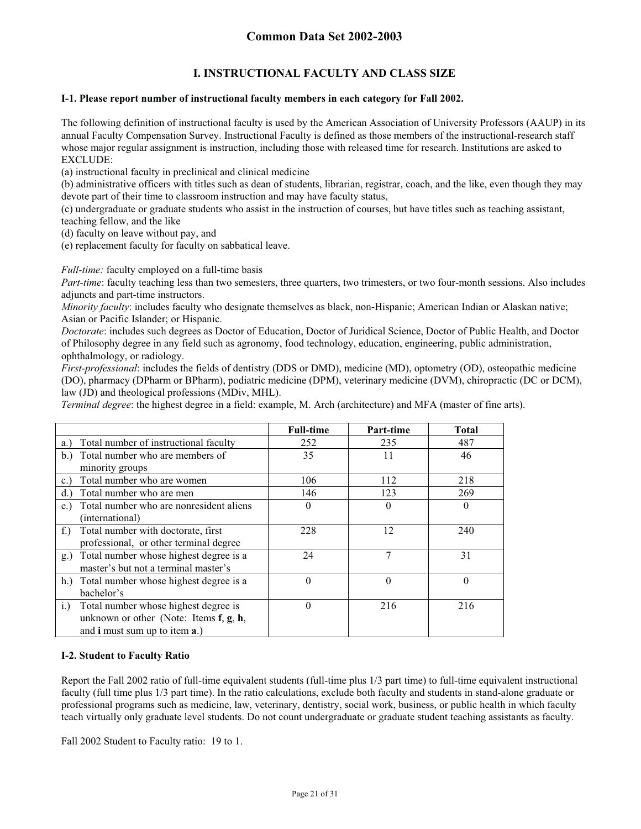## **I. INSTRUCTIONAL FACULTY AND CLASS SIZE**

## **I-1. Please report number of instructional faculty members in each category for Fall 2002.**

The following definition of instructional faculty is used by the American Association of University Professors (AAUP) in its annual Faculty Compensation Survey. Instructional Faculty is defined as those members of the instructional-research staff whose major regular assignment is instruction, including those with released time for research. Institutions are asked to EXCLUDE:

(a) instructional faculty in preclinical and clinical medicine

(b) administrative officers with titles such as dean of students, librarian, registrar, coach, and the like, even though they may devote part of their time to classroom instruction and may have faculty status,

(c) undergraduate or graduate students who assist in the instruction of courses, but have titles such as teaching assistant, teaching fellow, and the like

(d) faculty on leave without pay, and

(e) replacement faculty for faculty on sabbatical leave.

*Full-time:* faculty employed on a full-time basis

*Part-time*: faculty teaching less than two semesters, three quarters, two trimesters, or two four-month sessions. Also includes adjuncts and part-time instructors.

*Minority faculty*: includes faculty who designate themselves as black, non-Hispanic; American Indian or Alaskan native; Asian or Pacific Islander; or Hispanic.

*Doctorate*: includes such degrees as Doctor of Education, Doctor of Juridical Science, Doctor of Public Health, and Doctor of Philosophy degree in any field such as agronomy, food technology, education, engineering, public administration, ophthalmology, or radiology.

*First-professional*: includes the fields of dentistry (DDS or DMD), medicine (MD), optometry (OD), osteopathic medicine (DO), pharmacy (DPharm or BPharm), podiatric medicine (DPM), veterinary medicine (DVM), chiropractic (DC or DCM), law (JD) and theological professions (MDiv, MHL).

*Terminal degree*: the highest degree in a field: example, M. Arch (architecture) and MFA (master of fine arts).

|                                                     | <b>Full-time</b> | Part-time | <b>Total</b> |
|-----------------------------------------------------|------------------|-----------|--------------|
| Total number of instructional faculty<br>a.)        | 252              | 235       | 487          |
| Total number who are members of<br>b.               | 35               | 11        | 46           |
| minority groups                                     |                  |           |              |
| Total number who are women<br>c.                    | 106              | 112       | 218          |
| Total number who are men<br>d.                      | 146              | 123       | 269          |
| Total number who are nonresident aliens<br>e.       | $\theta$         | 0         | $\theta$     |
| (international)                                     |                  |           |              |
| Total number with doctorate, first<br>$f_{\cdot}$ ) | 228              | 12        | 240          |
| professional, or other terminal degree              |                  |           |              |
| Total number whose highest degree is a<br>g.)       | 24               | 7         | 31           |
| master's but not a terminal master's                |                  |           |              |
| h.) Total number whose highest degree is a          | $\theta$         | $\Omega$  | $\theta$     |
| bachelor's                                          |                  |           |              |
| Total number whose highest degree is<br>i.)         | $\theta$         | 216       | 216          |
| unknown or other (Note: Items $f, g, h$ ,           |                  |           |              |
| and i must sum up to item a.)                       |                  |           |              |

## **I-2. Student to Faculty Ratio**

Report the Fall 2002 ratio of full-time equivalent students (full-time plus 1/3 part time) to full-time equivalent instructional faculty (full time plus 1/3 part time). In the ratio calculations, exclude both faculty and students in stand-alone graduate or professional programs such as medicine, law, veterinary, dentistry, social work, business, or public health in which faculty teach virtually only graduate level students. Do not count undergraduate or graduate student teaching assistants as faculty.

Fall 2002 Student to Faculty ratio: 19 to 1.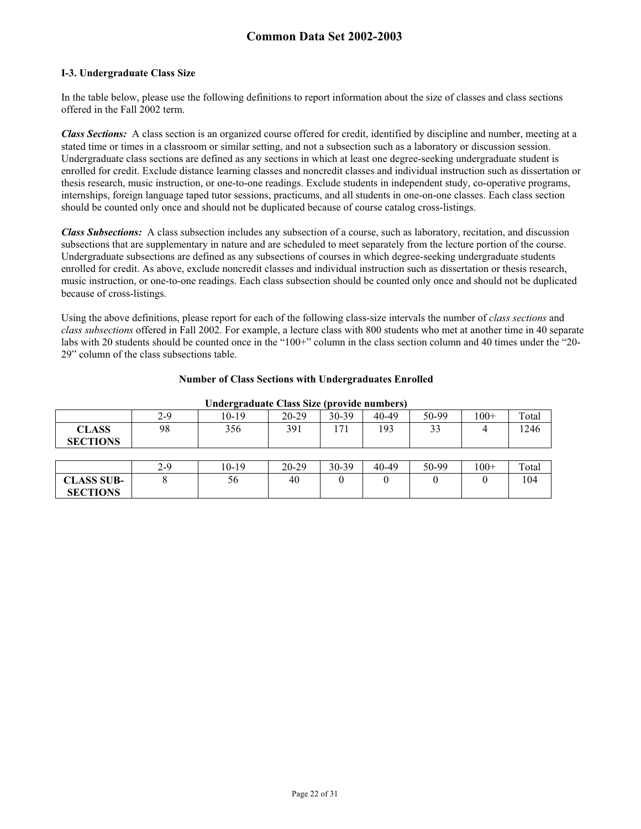#### **I-3. Undergraduate Class Size**

In the table below, please use the following definitions to report information about the size of classes and class sections offered in the Fall 2002 term.

*Class Sections:* A class section is an organized course offered for credit, identified by discipline and number, meeting at a stated time or times in a classroom or similar setting, and not a subsection such as a laboratory or discussion session. Undergraduate class sections are defined as any sections in which at least one degree-seeking undergraduate student is enrolled for credit. Exclude distance learning classes and noncredit classes and individual instruction such as dissertation or thesis research, music instruction, or one-to-one readings. Exclude students in independent study, co-operative programs, internships, foreign language taped tutor sessions, practicums, and all students in one-on-one classes. Each class section should be counted only once and should not be duplicated because of course catalog cross-listings.

*Class Subsections:* A class subsection includes any subsection of a course, such as laboratory, recitation, and discussion subsections that are supplementary in nature and are scheduled to meet separately from the lecture portion of the course. Undergraduate subsections are defined as any subsections of courses in which degree-seeking undergraduate students enrolled for credit. As above, exclude noncredit classes and individual instruction such as dissertation or thesis research, music instruction, or one-to-one readings. Each class subsection should be counted only once and should not be duplicated because of cross-listings.

Using the above definitions, please report for each of the following class-size intervals the number of *class sections* and *class subsections* offered in Fall 2002. For example, a lecture class with 800 students who met at another time in 40 separate labs with 20 students should be counted once in the "100+" column in the class section column and 40 times under the "20- 29" column of the class subsections table.

#### **Number of Class Sections with Undergraduates Enrolled**

|                   | 2-9   | -<br>10-19 | 20-29 | 30-39 | 40-49 | 50-99 | $100+$ | Total |
|-------------------|-------|------------|-------|-------|-------|-------|--------|-------|
| <b>CLASS</b>      | 98    | 356        | 391   | 171   | 193   | 33    | 4      | 1246  |
| <b>SECTIONS</b>   |       |            |       |       |       |       |        |       |
|                   |       |            |       |       |       |       |        |       |
|                   | $2-9$ | $10-19$    | 20-29 | 30-39 | 40-49 | 50-99 | $100+$ | Total |
| <b>CLASS SUB-</b> | 8     | 56         | 40    |       | 0     |       |        | 104   |
| <b>SECTIONS</b>   |       |            |       |       |       |       |        |       |

#### **Undergraduate Class Size (provide numbers)**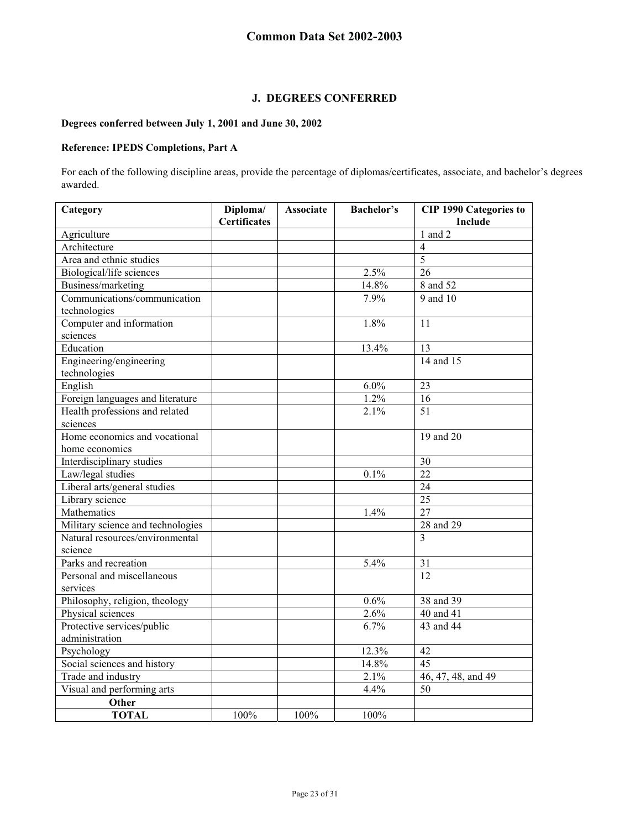## **J. DEGREES CONFERRED**

## **Degrees conferred between July 1, 2001 and June 30, 2002**

## **Reference: IPEDS Completions, Part A**

For each of the following discipline areas, provide the percentage of diplomas/certificates, associate, and bachelor's degrees awarded.

| Category                          | Diploma/            | <b>Associate</b> | <b>Bachelor's</b> | <b>CIP 1990 Categories to</b> |
|-----------------------------------|---------------------|------------------|-------------------|-------------------------------|
|                                   | <b>Certificates</b> |                  |                   | Include                       |
| Agriculture                       |                     |                  |                   | $1$ and $2$                   |
| Architecture                      |                     |                  |                   | $\overline{4}$                |
| Area and ethnic studies           |                     |                  |                   | $\overline{5}$                |
| Biological/life sciences          |                     |                  | 2.5%              | 26                            |
| Business/marketing                |                     |                  | 14.8%             | 8 and 52                      |
| Communications/communication      |                     |                  | 7.9%              | 9 and 10                      |
| technologies                      |                     |                  |                   |                               |
| Computer and information          |                     |                  | 1.8%              | 11                            |
| sciences                          |                     |                  |                   |                               |
| Education                         |                     |                  | 13.4%             | 13                            |
| Engineering/engineering           |                     |                  |                   | 14 and 15                     |
| technologies                      |                     |                  |                   |                               |
| English                           |                     |                  | 6.0%              | 23                            |
| Foreign languages and literature  |                     |                  | 1.2%              | 16                            |
| Health professions and related    |                     |                  | 2.1%              | $\overline{51}$               |
| sciences                          |                     |                  |                   |                               |
| Home economics and vocational     |                     |                  |                   | 19 and 20                     |
| home economics                    |                     |                  |                   |                               |
| Interdisciplinary studies         |                     |                  |                   | 30                            |
| Law/legal studies                 |                     |                  | 0.1%              | 22                            |
| Liberal arts/general studies      |                     |                  |                   | 24                            |
| Library science                   |                     |                  |                   | 25                            |
| Mathematics                       |                     |                  | 1.4%              | 27                            |
| Military science and technologies |                     |                  |                   | 28 and 29                     |
| Natural resources/environmental   |                     |                  |                   | 3                             |
| science                           |                     |                  |                   |                               |
| Parks and recreation              |                     |                  | 5.4%              | 31                            |
| Personal and miscellaneous        |                     |                  |                   | 12                            |
| services                          |                     |                  |                   |                               |
| Philosophy, religion, theology    |                     |                  | 0.6%              | 38 and 39                     |
| Physical sciences                 |                     |                  | 2.6%              | 40 and 41                     |
| Protective services/public        |                     |                  | 6.7%              | 43 and 44                     |
| administration                    |                     |                  |                   |                               |
| Psychology                        |                     |                  | 12.3%             | 42                            |
| Social sciences and history       |                     |                  | 14.8%             | 45                            |
| Trade and industry                |                     |                  | 2.1%              | 46, 47, 48, and 49            |
| Visual and performing arts        |                     |                  | 4.4%              | 50                            |
| Other                             |                     |                  |                   |                               |
| <b>TOTAL</b>                      | 100%                | 100%             | 100%              |                               |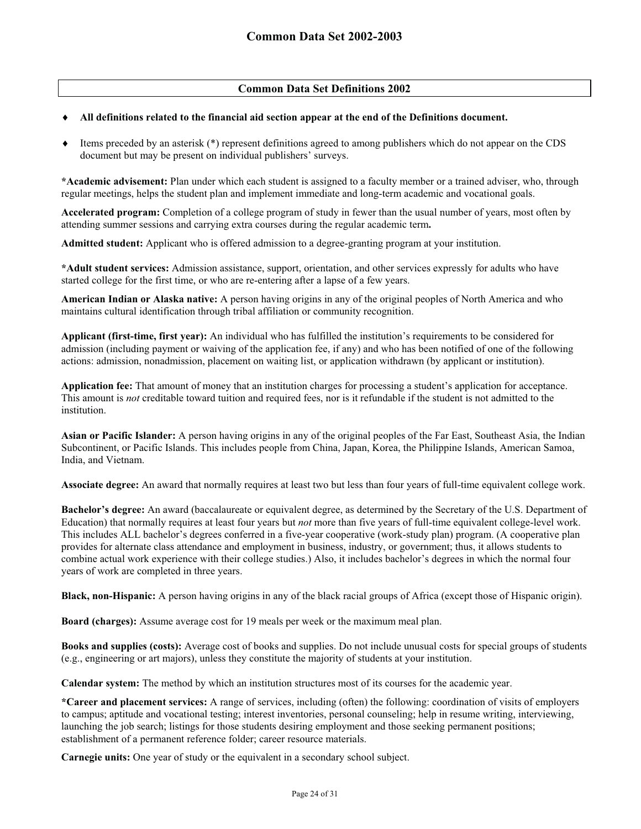## **Common Data Set Definitions 2002**

#### $\ddot{\bullet}$ **All definitions related to the financial aid section appear at the end of the Definitions document.**

 $\ddot{\bullet}$  Items preceded by an asterisk (\*) represent definitions agreed to among publishers which do not appear on the CDS document but may be present on individual publishers' surveys.

**\*Academic advisement:** Plan under which each student is assigned to a faculty member or a trained adviser, who, through regular meetings, helps the student plan and implement immediate and long-term academic and vocational goals.

**Accelerated program:** Completion of a college program of study in fewer than the usual number of years, most often by attending summer sessions and carrying extra courses during the regular academic term**.** 

**Admitted student:** Applicant who is offered admission to a degree-granting program at your institution.

**\*Adult student services:** Admission assistance, support, orientation, and other services expressly for adults who have started college for the first time, or who are re-entering after a lapse of a few years.

**American Indian or Alaska native:** A person having origins in any of the original peoples of North America and who maintains cultural identification through tribal affiliation or community recognition.

**Applicant (first-time, first year):** An individual who has fulfilled the institution's requirements to be considered for admission (including payment or waiving of the application fee, if any) and who has been notified of one of the following actions: admission, nonadmission, placement on waiting list, or application withdrawn (by applicant or institution).

**Application fee:** That amount of money that an institution charges for processing a student's application for acceptance. This amount is *not* creditable toward tuition and required fees, nor is it refundable if the student is not admitted to the institution.

**Asian or Pacific Islander:** A person having origins in any of the original peoples of the Far East, Southeast Asia, the Indian Subcontinent, or Pacific Islands. This includes people from China, Japan, Korea, the Philippine Islands, American Samoa, India, and Vietnam.

**Associate degree:** An award that normally requires at least two but less than four years of full-time equivalent college work.

**Bachelor's degree:** An award (baccalaureate or equivalent degree, as determined by the Secretary of the U.S. Department of Education) that normally requires at least four years but *not* more than five years of full-time equivalent college-level work. This includes ALL bachelor's degrees conferred in a five-year cooperative (work-study plan) program. (A cooperative plan provides for alternate class attendance and employment in business, industry, or government; thus, it allows students to combine actual work experience with their college studies.) Also, it includes bachelor's degrees in which the normal four years of work are completed in three years.

**Black, non-Hispanic:** A person having origins in any of the black racial groups of Africa (except those of Hispanic origin).

**Board (charges):** Assume average cost for 19 meals per week or the maximum meal plan.

**Books and supplies (costs):** Average cost of books and supplies. Do not include unusual costs for special groups of students (e.g., engineering or art majors), unless they constitute the majority of students at your institution.

**Calendar system:** The method by which an institution structures most of its courses for the academic year.

**\*Career and placement services:** A range of services, including (often) the following: coordination of visits of employers to campus; aptitude and vocational testing; interest inventories, personal counseling; help in resume writing, interviewing, launching the job search; listings for those students desiring employment and those seeking permanent positions; establishment of a permanent reference folder; career resource materials.

**Carnegie units:** One year of study or the equivalent in a secondary school subject.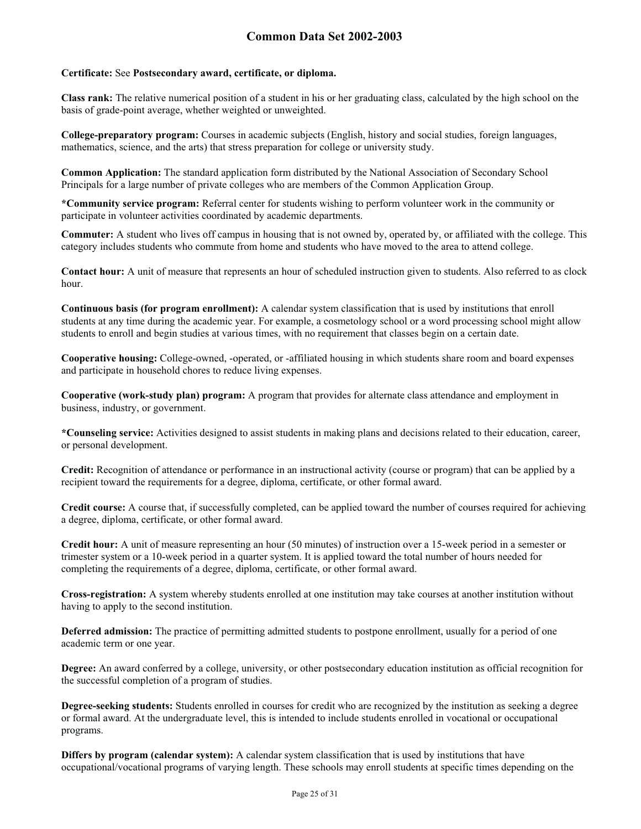## **Certificate:** See **Postsecondary award, certificate, or diploma.**

**Class rank:** The relative numerical position of a student in his or her graduating class, calculated by the high school on the basis of grade-point average, whether weighted or unweighted.

**College-preparatory program:** Courses in academic subjects (English, history and social studies, foreign languages, mathematics, science, and the arts) that stress preparation for college or university study.

**Common Application:** The standard application form distributed by the National Association of Secondary School Principals for a large number of private colleges who are members of the Common Application Group.

**\*Community service program:** Referral center for students wishing to perform volunteer work in the community or participate in volunteer activities coordinated by academic departments.

**Commuter:** A student who lives off campus in housing that is not owned by, operated by, or affiliated with the college. This category includes students who commute from home and students who have moved to the area to attend college.

**Contact hour:** A unit of measure that represents an hour of scheduled instruction given to students. Also referred to as clock hour.

**Continuous basis (for program enrollment):** A calendar system classification that is used by institutions that enroll students at any time during the academic year. For example, a cosmetology school or a word processing school might allow students to enroll and begin studies at various times, with no requirement that classes begin on a certain date.

**Cooperative housing:** College-owned, -operated, or -affiliated housing in which students share room and board expenses and participate in household chores to reduce living expenses.

**Cooperative (work-study plan) program:** A program that provides for alternate class attendance and employment in business, industry, or government.

**\*Counseling service:** Activities designed to assist students in making plans and decisions related to their education, career, or personal development.

**Credit:** Recognition of attendance or performance in an instructional activity (course or program) that can be applied by a recipient toward the requirements for a degree, diploma, certificate, or other formal award.

**Credit course:** A course that, if successfully completed, can be applied toward the number of courses required for achieving a degree, diploma, certificate, or other formal award.

**Credit hour:** A unit of measure representing an hour (50 minutes) of instruction over a 15-week period in a semester or trimester system or a 10-week period in a quarter system. It is applied toward the total number of hours needed for completing the requirements of a degree, diploma, certificate, or other formal award.

**Cross-registration:** A system whereby students enrolled at one institution may take courses at another institution without having to apply to the second institution.

**Deferred admission:** The practice of permitting admitted students to postpone enrollment, usually for a period of one academic term or one year.

**Degree:** An award conferred by a college, university, or other postsecondary education institution as official recognition for the successful completion of a program of studies.

**Degree-seeking students:** Students enrolled in courses for credit who are recognized by the institution as seeking a degree or formal award. At the undergraduate level, this is intended to include students enrolled in vocational or occupational programs.

**Differs by program (calendar system):** A calendar system classification that is used by institutions that have occupational/vocational programs of varying length. These schools may enroll students at specific times depending on the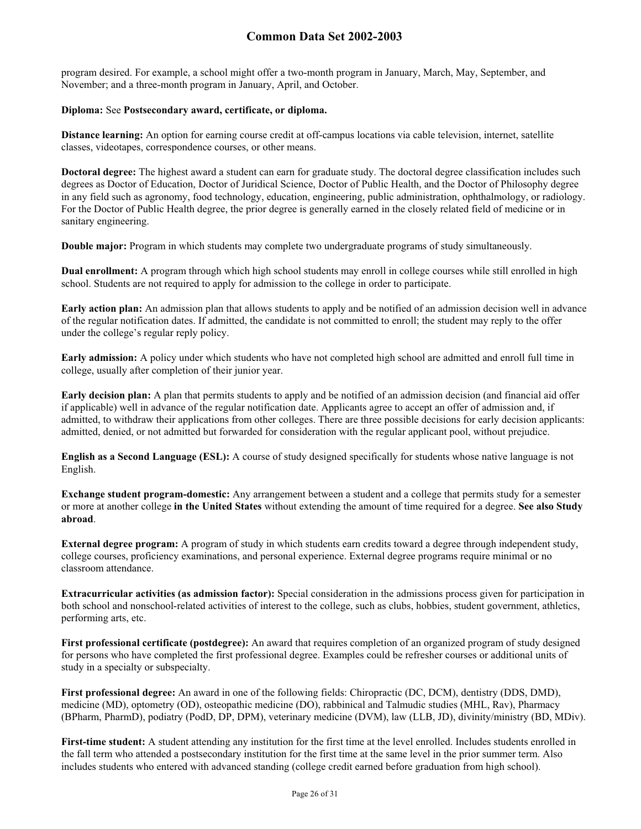program desired. For example, a school might offer a two-month program in January, March, May, September, and November; and a three-month program in January, April, and October.

#### **Diploma:** See **Postsecondary award, certificate, or diploma.**

**Distance learning:** An option for earning course credit at off-campus locations via cable television, internet, satellite classes, videotapes, correspondence courses, or other means.

**Doctoral degree:** The highest award a student can earn for graduate study. The doctoral degree classification includes such degrees as Doctor of Education, Doctor of Juridical Science, Doctor of Public Health, and the Doctor of Philosophy degree in any field such as agronomy, food technology, education, engineering, public administration, ophthalmology, or radiology. For the Doctor of Public Health degree, the prior degree is generally earned in the closely related field of medicine or in sanitary engineering.

**Double major:** Program in which students may complete two undergraduate programs of study simultaneously.

**Dual enrollment:** A program through which high school students may enroll in college courses while still enrolled in high school. Students are not required to apply for admission to the college in order to participate.

**Early action plan:** An admission plan that allows students to apply and be notified of an admission decision well in advance of the regular notification dates. If admitted, the candidate is not committed to enroll; the student may reply to the offer under the college's regular reply policy.

**Early admission:** A policy under which students who have not completed high school are admitted and enroll full time in college, usually after completion of their junior year.

**Early decision plan:** A plan that permits students to apply and be notified of an admission decision (and financial aid offer if applicable) well in advance of the regular notification date. Applicants agree to accept an offer of admission and, if admitted, to withdraw their applications from other colleges. There are three possible decisions for early decision applicants: admitted, denied, or not admitted but forwarded for consideration with the regular applicant pool, without prejudice.

**English as a Second Language (ESL):** A course of study designed specifically for students whose native language is not English.

**Exchange student program-domestic:** Any arrangement between a student and a college that permits study for a semester or more at another college **in the United States** without extending the amount of time required for a degree. **See also Study abroad**.

**External degree program:** A program of study in which students earn credits toward a degree through independent study, college courses, proficiency examinations, and personal experience. External degree programs require minimal or no classroom attendance.

**Extracurricular activities (as admission factor):** Special consideration in the admissions process given for participation in both school and nonschool-related activities of interest to the college, such as clubs, hobbies, student government, athletics, performing arts, etc.

**First professional certificate (postdegree):** An award that requires completion of an organized program of study designed for persons who have completed the first professional degree. Examples could be refresher courses or additional units of study in a specialty or subspecialty.

**First professional degree:** An award in one of the following fields: Chiropractic (DC, DCM), dentistry (DDS, DMD), medicine (MD), optometry (OD), osteopathic medicine (DO), rabbinical and Talmudic studies (MHL, Rav), Pharmacy (BPharm, PharmD), podiatry (PodD, DP, DPM), veterinary medicine (DVM), law (LLB, JD), divinity/ministry (BD, MDiv).

First-time student: A student attending any institution for the first time at the level enrolled. Includes students enrolled in the fall term who attended a postsecondary institution for the first time at the same level in the prior summer term. Also includes students who entered with advanced standing (college credit earned before graduation from high school).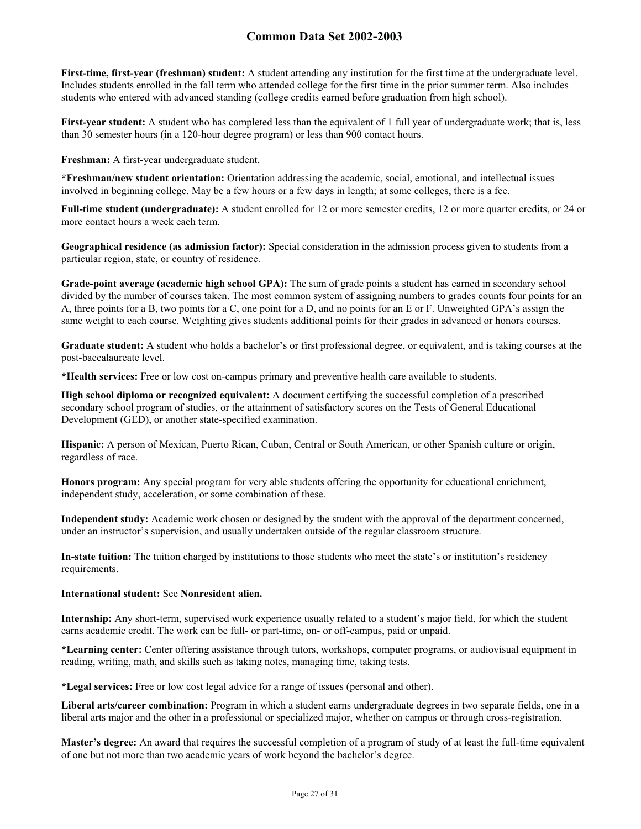**First-time, first-year (freshman) student:** A student attending any institution for the first time at the undergraduate level. Includes students enrolled in the fall term who attended college for the first time in the prior summer term. Also includes students who entered with advanced standing (college credits earned before graduation from high school).

**First-year student:** A student who has completed less than the equivalent of 1 full year of undergraduate work; that is, less than 30 semester hours (in a 120-hour degree program) or less than 900 contact hours.

**Freshman:** A first-year undergraduate student.

**\*Freshman/new student orientation:** Orientation addressing the academic, social, emotional, and intellectual issues involved in beginning college. May be a few hours or a few days in length; at some colleges, there is a fee.

**Full-time student (undergraduate):** A student enrolled for 12 or more semester credits, 12 or more quarter credits, or 24 or more contact hours a week each term.

**Geographical residence (as admission factor):** Special consideration in the admission process given to students from a particular region, state, or country of residence.

**Grade-point average (academic high school GPA):** The sum of grade points a student has earned in secondary school divided by the number of courses taken. The most common system of assigning numbers to grades counts four points for an A, three points for a B, two points for a C, one point for a D, and no points for an E or F. Unweighted GPA's assign the same weight to each course. Weighting gives students additional points for their grades in advanced or honors courses.

**Graduate student:** A student who holds a bachelor's or first professional degree, or equivalent, and is taking courses at the post-baccalaureate level.

**\*Health services:** Free or low cost on-campus primary and preventive health care available to students.

**High school diploma or recognized equivalent:** A document certifying the successful completion of a prescribed secondary school program of studies, or the attainment of satisfactory scores on the Tests of General Educational Development (GED), or another state-specified examination.

**Hispanic:** A person of Mexican, Puerto Rican, Cuban, Central or South American, or other Spanish culture or origin, regardless of race.

**Honors program:** Any special program for very able students offering the opportunity for educational enrichment, independent study, acceleration, or some combination of these.

**Independent study:** Academic work chosen or designed by the student with the approval of the department concerned, under an instructor's supervision, and usually undertaken outside of the regular classroom structure.

**In-state tuition:** The tuition charged by institutions to those students who meet the state's or institution's residency requirements.

#### **International student:** See **Nonresident alien.**

**Internship:** Any short-term, supervised work experience usually related to a student's major field, for which the student earns academic credit. The work can be full- or part-time, on- or off-campus, paid or unpaid.

**\*Learning center:** Center offering assistance through tutors, workshops, computer programs, or audiovisual equipment in reading, writing, math, and skills such as taking notes, managing time, taking tests.

**\*Legal services:** Free or low cost legal advice for a range of issues (personal and other).

**Liberal arts/career combination:** Program in which a student earns undergraduate degrees in two separate fields, one in a liberal arts major and the other in a professional or specialized major, whether on campus or through cross-registration.

**Master's degree:** An award that requires the successful completion of a program of study of at least the full-time equivalent of one but not more than two academic years of work beyond the bachelor's degree.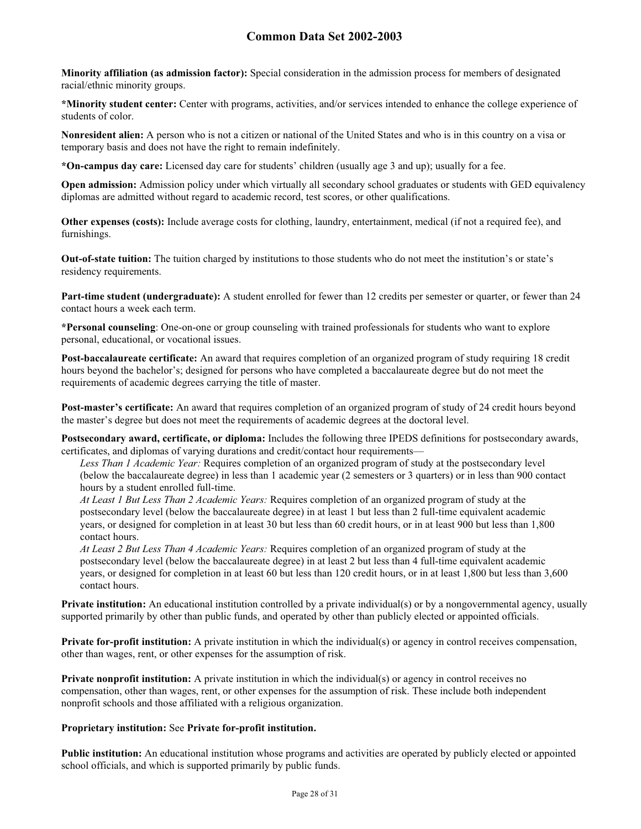**Minority affiliation (as admission factor):** Special consideration in the admission process for members of designated racial/ethnic minority groups.

**\*Minority student center:** Center with programs, activities, and/or services intended to enhance the college experience of students of color.

**Nonresident alien:** A person who is not a citizen or national of the United States and who is in this country on a visa or temporary basis and does not have the right to remain indefinitely.

**\*On-campus day care:** Licensed day care for students' children (usually age 3 and up); usually for a fee.

**Open admission:** Admission policy under which virtually all secondary school graduates or students with GED equivalency diplomas are admitted without regard to academic record, test scores, or other qualifications.

**Other expenses (costs):** Include average costs for clothing, laundry, entertainment, medical (if not a required fee), and furnishings.

**Out-of-state tuition:** The tuition charged by institutions to those students who do not meet the institution's or state's residency requirements.

**Part-time student (undergraduate):** A student enrolled for fewer than 12 credits per semester or quarter, or fewer than 24 contact hours a week each term.

**\*Personal counseling**: One-on-one or group counseling with trained professionals for students who want to explore personal, educational, or vocational issues.

**Post-baccalaureate certificate:** An award that requires completion of an organized program of study requiring 18 credit hours beyond the bachelor's; designed for persons who have completed a baccalaureate degree but do not meet the requirements of academic degrees carrying the title of master.

**Post-master's certificate:** An award that requires completion of an organized program of study of 24 credit hours beyond the master's degree but does not meet the requirements of academic degrees at the doctoral level.

**Postsecondary award, certificate, or diploma:** Includes the following three IPEDS definitions for postsecondary awards, certificates, and diplomas of varying durations and credit/contact hour requirements—

*Less Than 1 Academic Year:* Requires completion of an organized program of study at the postsecondary level (below the baccalaureate degree) in less than 1 academic year (2 semesters or 3 quarters) or in less than 900 contact hours by a student enrolled full-time.

*At Least 1 But Less Than 2 Academic Years:* Requires completion of an organized program of study at the postsecondary level (below the baccalaureate degree) in at least 1 but less than 2 full-time equivalent academic years, or designed for completion in at least 30 but less than 60 credit hours, or in at least 900 but less than 1,800 contact hours.

*At Least 2 But Less Than 4 Academic Years:* Requires completion of an organized program of study at the postsecondary level (below the baccalaureate degree) in at least 2 but less than 4 full-time equivalent academic years, or designed for completion in at least 60 but less than 120 credit hours, or in at least 1,800 but less than 3,600 contact hours.

**Private institution:** An educational institution controlled by a private individual(s) or by a nongovernmental agency, usually supported primarily by other than public funds, and operated by other than publicly elected or appointed officials.

**Private for-profit institution:** A private institution in which the individual(s) or agency in control receives compensation, other than wages, rent, or other expenses for the assumption of risk.

**Private nonprofit institution:** A private institution in which the individual(s) or agency in control receives no compensation, other than wages, rent, or other expenses for the assumption of risk. These include both independent nonprofit schools and those affiliated with a religious organization.

## **Proprietary institution:** See **Private for-profit institution.**

**Public institution:** An educational institution whose programs and activities are operated by publicly elected or appointed school officials, and which is supported primarily by public funds.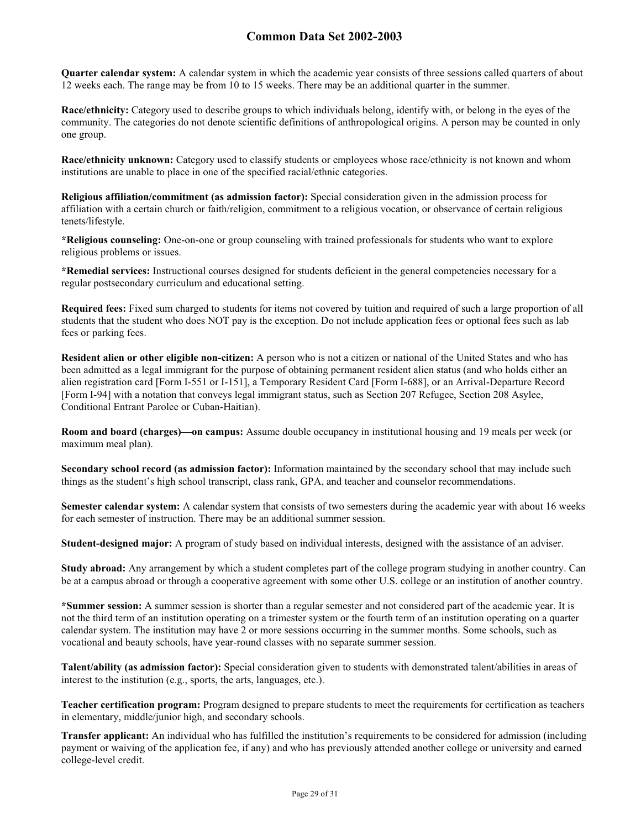**Quarter calendar system:** A calendar system in which the academic year consists of three sessions called quarters of about 12 weeks each. The range may be from 10 to 15 weeks. There may be an additional quarter in the summer.

**Race/ethnicity:** Category used to describe groups to which individuals belong, identify with, or belong in the eyes of the community. The categories do not denote scientific definitions of anthropological origins. A person may be counted in only one group.

**Race/ethnicity unknown:** Category used to classify students or employees whose race/ethnicity is not known and whom institutions are unable to place in one of the specified racial/ethnic categories.

**Religious affiliation/commitment (as admission factor):** Special consideration given in the admission process for affiliation with a certain church or faith/religion, commitment to a religious vocation, or observance of certain religious tenets/lifestyle.

**\*Religious counseling:** One-on-one or group counseling with trained professionals for students who want to explore religious problems or issues.

**\*Remedial services:** Instructional courses designed for students deficient in the general competencies necessary for a regular postsecondary curriculum and educational setting.

**Required fees:** Fixed sum charged to students for items not covered by tuition and required of such a large proportion of all students that the student who does NOT pay is the exception. Do not include application fees or optional fees such as lab fees or parking fees.

**Resident alien or other eligible non-citizen:** A person who is not a citizen or national of the United States and who has been admitted as a legal immigrant for the purpose of obtaining permanent resident alien status (and who holds either an alien registration card [Form I-551 or I-151], a Temporary Resident Card [Form I-688], or an Arrival-Departure Record [Form I-94] with a notation that conveys legal immigrant status, such as Section 207 Refugee, Section 208 Asylee, Conditional Entrant Parolee or Cuban-Haitian).

**Room and board (charges)—on campus:** Assume double occupancy in institutional housing and 19 meals per week (or maximum meal plan).

**Secondary school record (as admission factor):** Information maintained by the secondary school that may include such things as the student's high school transcript, class rank, GPA, and teacher and counselor recommendations.

**Semester calendar system:** A calendar system that consists of two semesters during the academic year with about 16 weeks for each semester of instruction. There may be an additional summer session.

**Student-designed major:** A program of study based on individual interests, designed with the assistance of an adviser.

**Study abroad:** Any arrangement by which a student completes part of the college program studying in another country. Can be at a campus abroad or through a cooperative agreement with some other U.S. college or an institution of another country.

**\*Summer session:** A summer session is shorter than a regular semester and not considered part of the academic year. It is not the third term of an institution operating on a trimester system or the fourth term of an institution operating on a quarter calendar system. The institution may have 2 or more sessions occurring in the summer months. Some schools, such as vocational and beauty schools, have year-round classes with no separate summer session.

**Talent/ability (as admission factor):** Special consideration given to students with demonstrated talent/abilities in areas of interest to the institution (e.g., sports, the arts, languages, etc.).

**Teacher certification program:** Program designed to prepare students to meet the requirements for certification as teachers in elementary, middle/junior high, and secondary schools.

**Transfer applicant:** An individual who has fulfilled the institution's requirements to be considered for admission (including payment or waiving of the application fee, if any) and who has previously attended another college or university and earned college-level credit.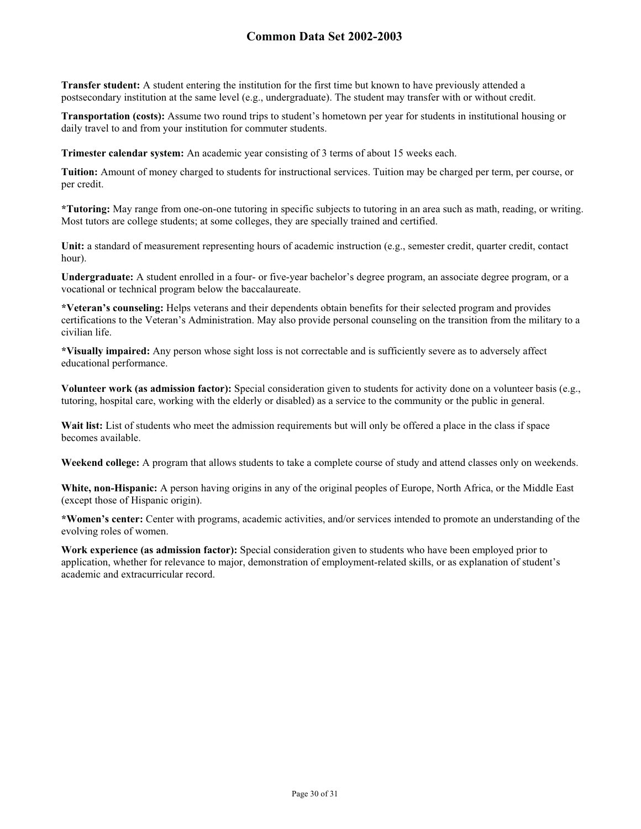**Transfer student:** A student entering the institution for the first time but known to have previously attended a postsecondary institution at the same level (e.g., undergraduate). The student may transfer with or without credit.

**Transportation (costs):** Assume two round trips to student's hometown per year for students in institutional housing or daily travel to and from your institution for commuter students.

**Trimester calendar system:** An academic year consisting of 3 terms of about 15 weeks each.

**Tuition:** Amount of money charged to students for instructional services. Tuition may be charged per term, per course, or per credit.

**\*Tutoring:** May range from one-on-one tutoring in specific subjects to tutoring in an area such as math, reading, or writing. Most tutors are college students; at some colleges, they are specially trained and certified.

**Unit:** a standard of measurement representing hours of academic instruction (e.g., semester credit, quarter credit, contact hour).

**Undergraduate:** A student enrolled in a four- or five-year bachelor's degree program, an associate degree program, or a vocational or technical program below the baccalaureate.

**\*Veteran's counseling:** Helps veterans and their dependents obtain benefits for their selected program and provides certifications to the Veteran's Administration. May also provide personal counseling on the transition from the military to a civilian life.

**\*Visually impaired:** Any person whose sight loss is not correctable and is sufficiently severe as to adversely affect educational performance.

**Volunteer work (as admission factor):** Special consideration given to students for activity done on a volunteer basis (e.g., tutoring, hospital care, working with the elderly or disabled) as a service to the community or the public in general.

Wait list: List of students who meet the admission requirements but will only be offered a place in the class if space becomes available.

**Weekend college:** A program that allows students to take a complete course of study and attend classes only on weekends.

**White, non-Hispanic:** A person having origins in any of the original peoples of Europe, North Africa, or the Middle East (except those of Hispanic origin).

**\*Women's center:** Center with programs, academic activities, and/or services intended to promote an understanding of the evolving roles of women.

**Work experience (as admission factor):** Special consideration given to students who have been employed prior to application, whether for relevance to major, demonstration of employment-related skills, or as explanation of student's academic and extracurricular record.